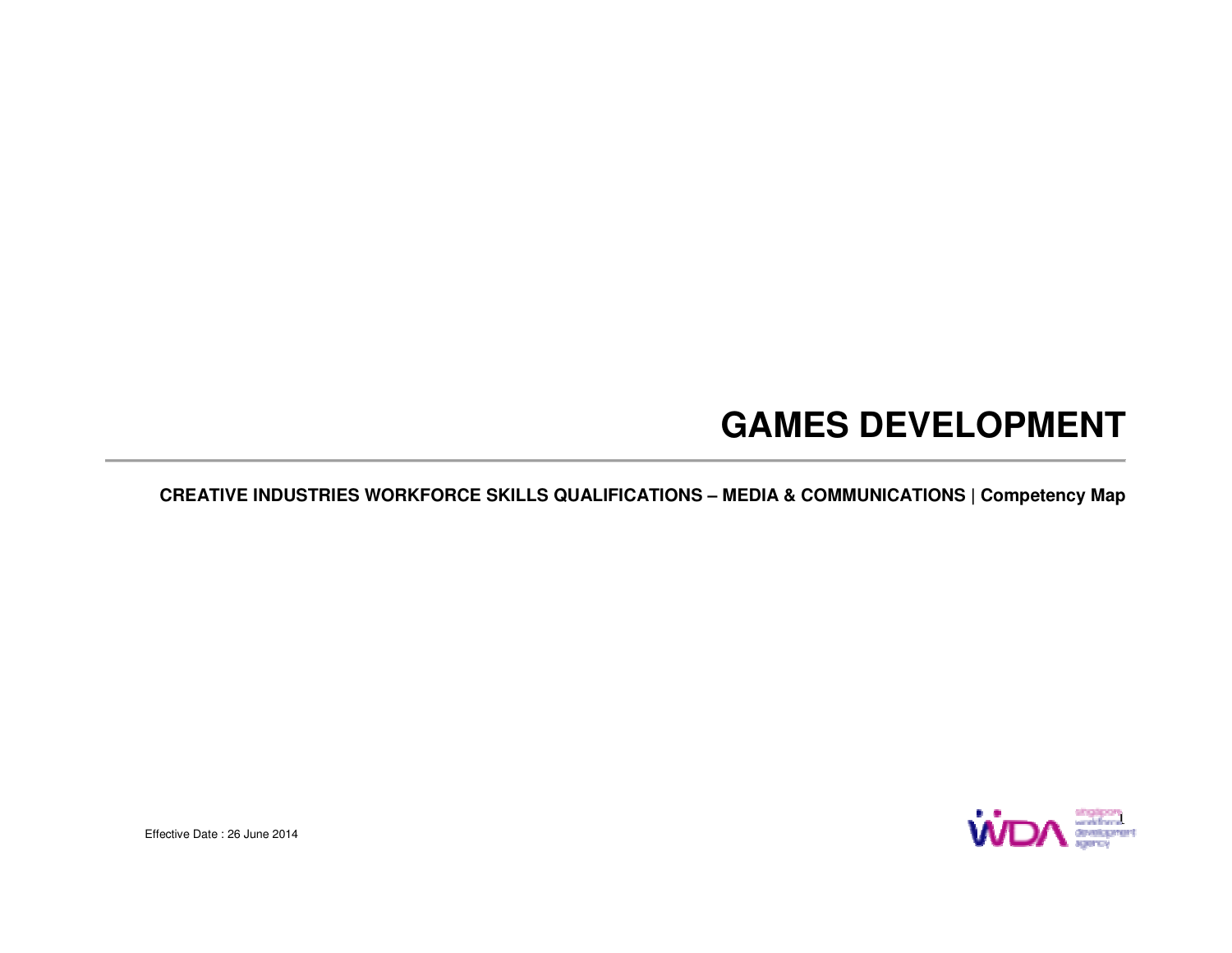## **GAMES DEVELOPMENT**

**CREATIVE INDUSTRIES WORKFORCE SKILLS QUALIFICATIONS – MEDIA & COMMUNICATIONS | Competency Map** 



Effective Date : 26 June 2014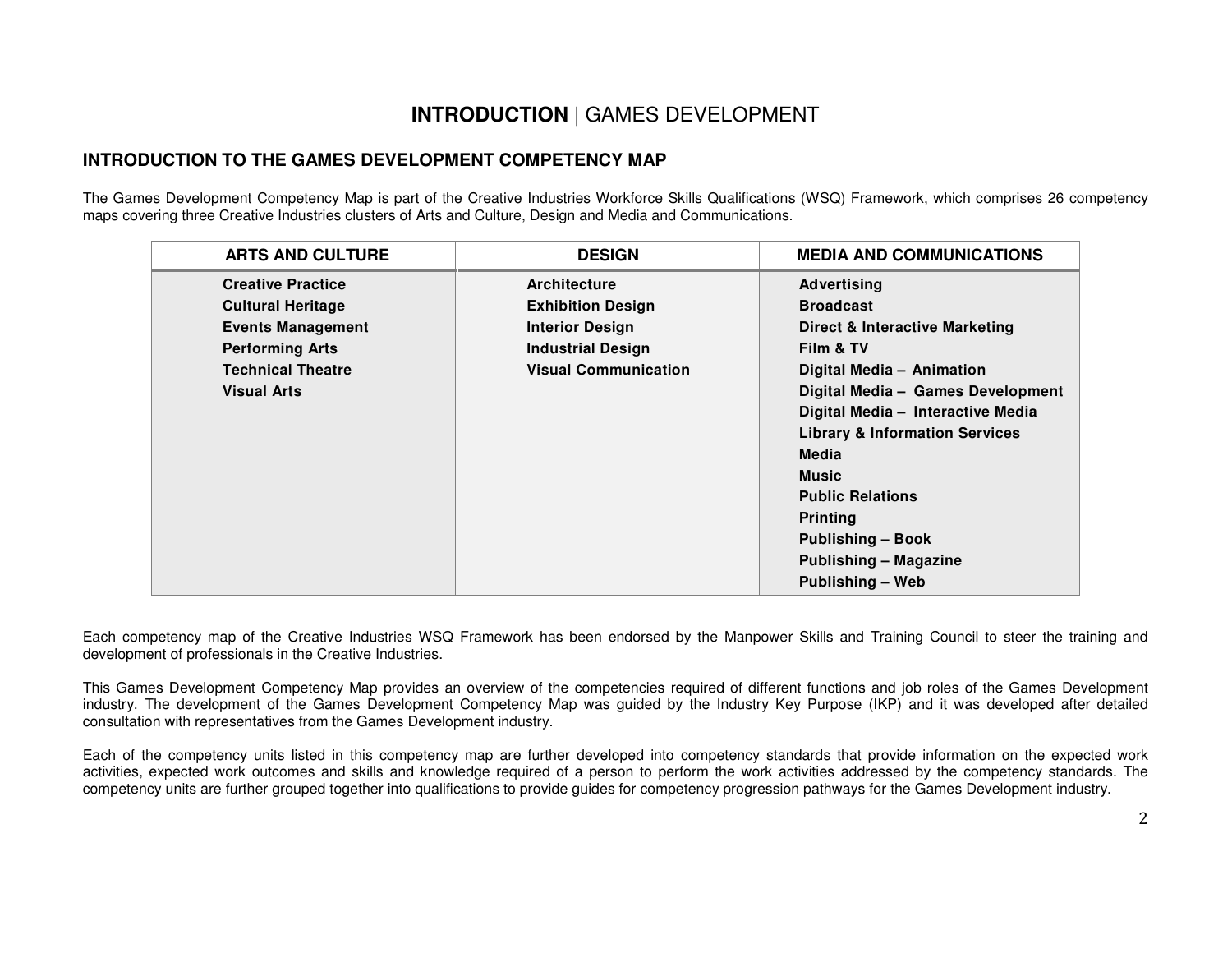#### **INTRODUCTION** | GAMES DEVELOPMENT

#### **INTRODUCTION TO THE GAMES DEVELOPMENT COMPETENCY MAP**

The Games Development Competency Map is part of the Creative Industries Workforce Skills Qualifications (WSQ) Framework, which comprises 26 competency maps covering three Creative Industries clusters of Arts and Culture, Design and Media and Communications.

| <b>ARTS AND CULTURE</b>                                                                                    | <b>DESIGN</b>                                                                                  | <b>MEDIA AND COMMUNICATIONS</b>                                                                                                                                                                                                                                                                  |
|------------------------------------------------------------------------------------------------------------|------------------------------------------------------------------------------------------------|--------------------------------------------------------------------------------------------------------------------------------------------------------------------------------------------------------------------------------------------------------------------------------------------------|
| <b>Creative Practice</b><br><b>Cultural Heritage</b><br><b>Events Management</b><br><b>Performing Arts</b> | Architecture<br><b>Exhibition Design</b><br><b>Interior Design</b><br><b>Industrial Design</b> | <b>Advertising</b><br><b>Broadcast</b><br><b>Direct &amp; Interactive Marketing</b><br>Film & TV                                                                                                                                                                                                 |
| <b>Technical Theatre</b><br><b>Visual Arts</b>                                                             | <b>Visual Communication</b>                                                                    | Digital Media - Animation<br>Digital Media - Games Development<br>Digital Media - Interactive Media<br><b>Library &amp; Information Services</b><br>Media<br><b>Music</b><br><b>Public Relations</b><br><b>Printing</b><br><b>Publishing - Book</b><br>Publishing - Magazine<br>Publishing - Web |

Each competency map of the Creative Industries WSQ Framework has been endorsed by the Manpower Skills and Training Council to steer the training and development of professionals in the Creative Industries.

This Games Development Competency Map provides an overview of the competencies required of different functions and job roles of the Games Development industry. The development of the Games Development Competency Map was guided by the Industry Key Purpose (IKP) and it was developed after detailed consultation with representatives from the Games Development industry.

Each of the competency units listed in this competency map are further developed into competency standards that provide information on the expected work activities, expected work outcomes and skills and knowledge required of a person to perform the work activities addressed by the competency standards. The competency units are further grouped together into qualifications to provide guides for competency progression pathways for the Games Development industry.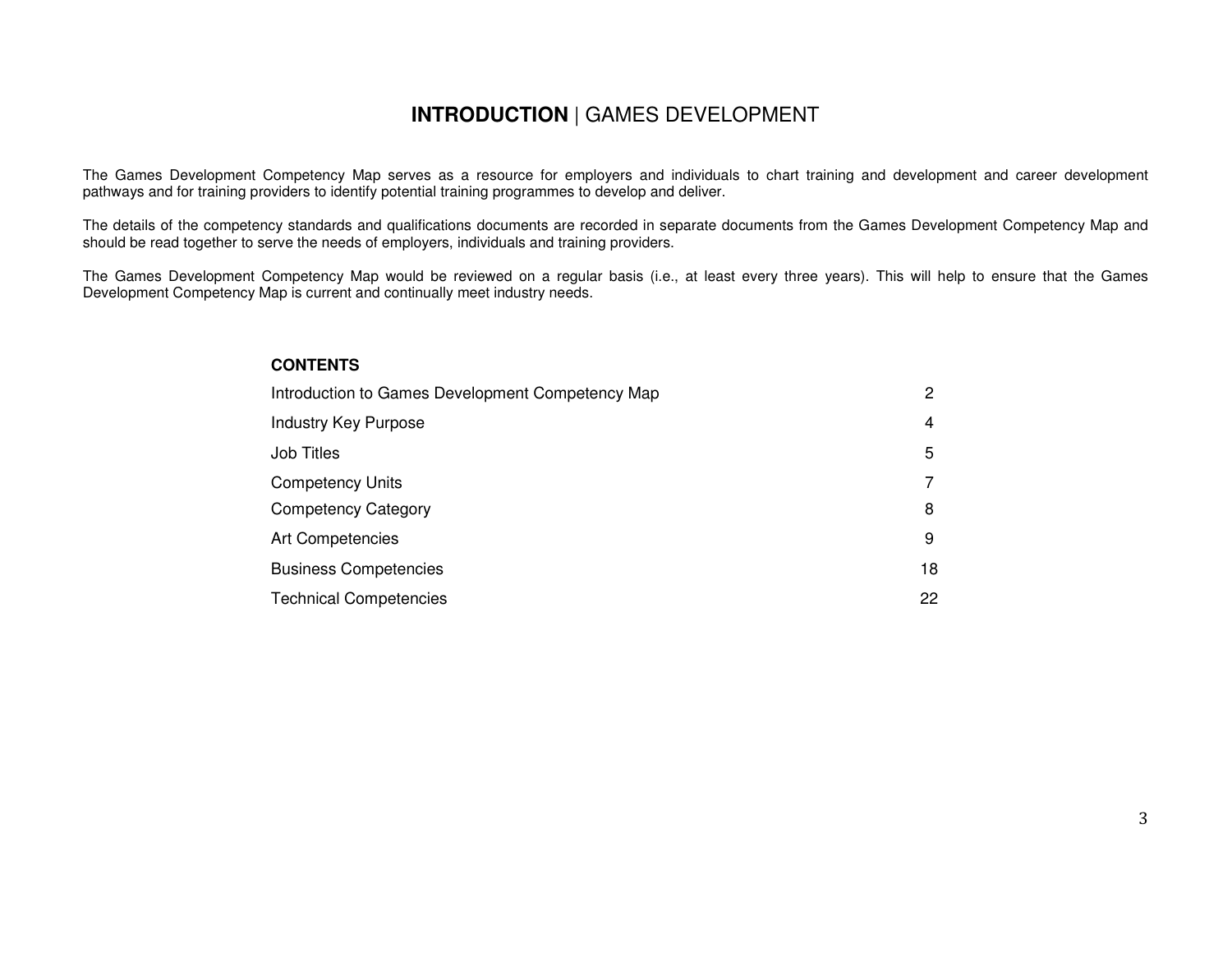#### **INTRODUCTION** | GAMES DEVELOPMENT

The Games Development Competency Map serves as a resource for employers and individuals to chart training and development and career development pathways and for training providers to identify potential training programmes to develop and deliver.

The details of the competency standards and qualifications documents are recorded in separate documents from the Games Development Competency Map and should be read together to serve the needs of employers, individuals and training providers.

The Games Development Competency Map would be reviewed on a regular basis (i.e., at least every three years). This will help to ensure that the Games Development Competency Map is current and continually meet industry needs.

#### **CONTENTS**

| Introduction to Games Development Competency Map | 2  |
|--------------------------------------------------|----|
| <b>Industry Key Purpose</b>                      | 4  |
| Job Titles                                       | 5  |
| <b>Competency Units</b>                          |    |
| <b>Competency Category</b>                       | 8  |
| <b>Art Competencies</b>                          | 9  |
| <b>Business Competencies</b>                     | 18 |
| <b>Technical Competencies</b>                    | 22 |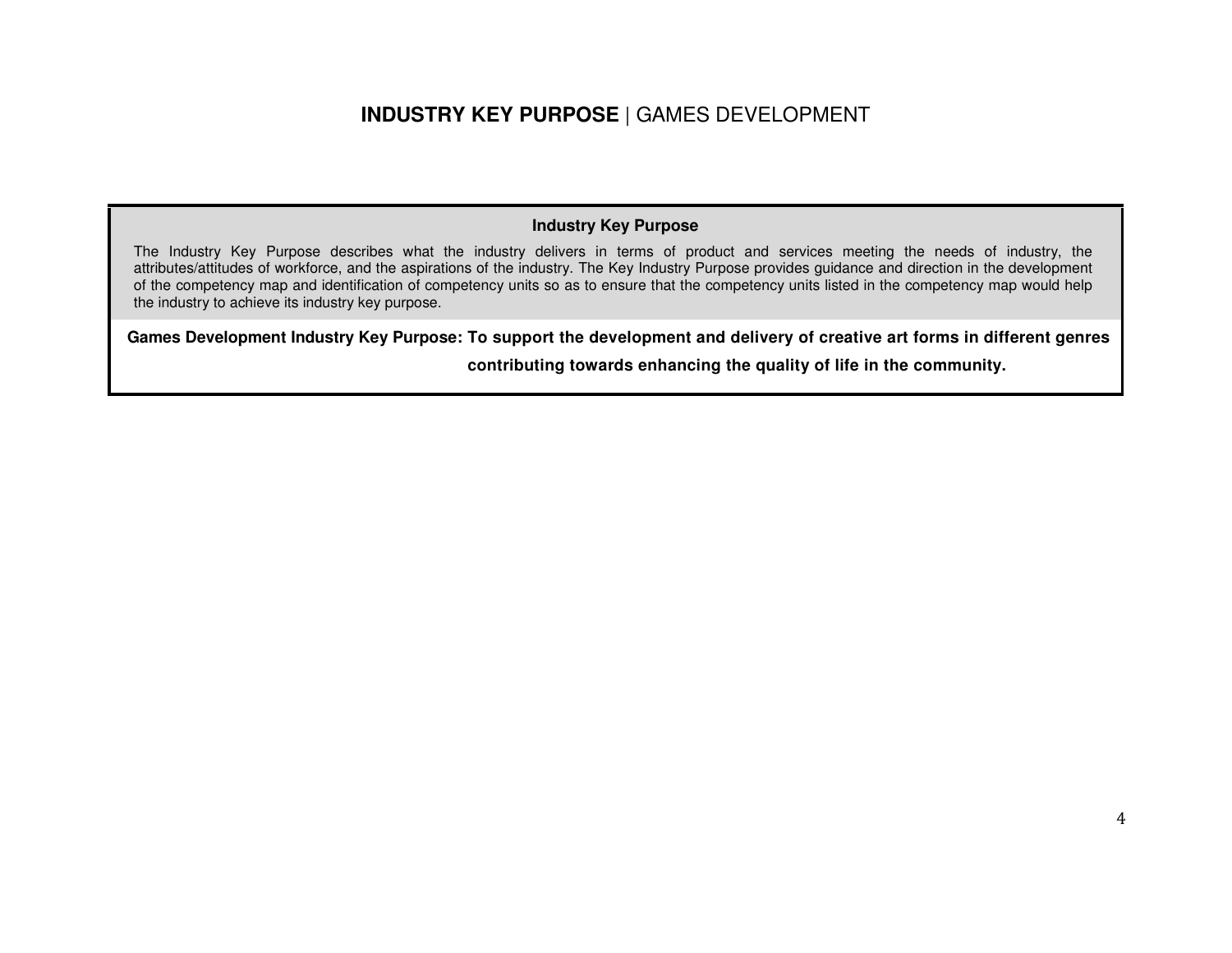#### **INDUSTRY KEY PURPOSE** | GAMES DEVELOPMENT

#### **Industry Key Purpose**

The Industry Key Purpose describes what the industry delivers in terms of product and services meeting the needs of industry, the attributes/attitudes of workforce, and the aspirations of the industry. The Key Industry Purpose provides guidance and direction in the development of the competency map and identification of competency units so as to ensure that the competency units listed in the competency map would help the industry to achieve its industry key purpose.

**Games Development Industry Key Purpose: To support the development and delivery of creative art forms in different genres** 

**contributing towards enhancing the quality of life in the community.**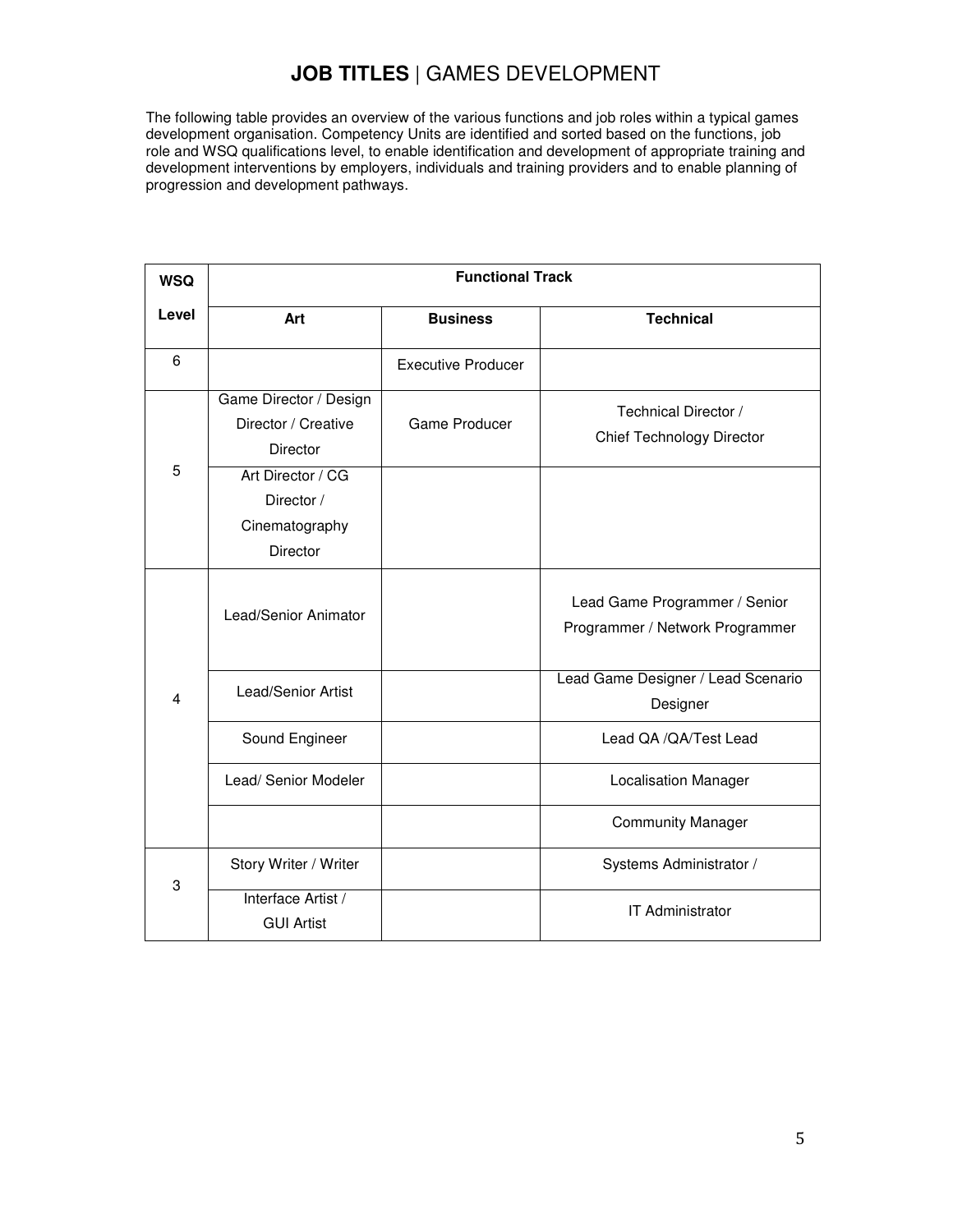#### **JOB TITLES** | GAMES DEVELOPMENT

The following table provides an overview of the various functions and job roles within a typical games development organisation. Competency Units are identified and sorted based on the functions, job role and WSQ qualifications level, to enable identification and development of appropriate training and development interventions by employers, individuals and training providers and to enable planning of progression and development pathways.

| <b>WSQ</b>     |                                                                      | <b>Functional Track</b>   |                                                                  |  |  |  |  |
|----------------|----------------------------------------------------------------------|---------------------------|------------------------------------------------------------------|--|--|--|--|
| Level          | Art                                                                  | <b>Business</b>           | <b>Technical</b>                                                 |  |  |  |  |
| $\,6$          |                                                                      | <b>Executive Producer</b> |                                                                  |  |  |  |  |
|                | Game Director / Design<br>Director / Creative<br><b>Director</b>     | Game Producer             | Technical Director /<br>Chief Technology Director                |  |  |  |  |
| 5              | Art Director / CG<br>Director /<br>Cinematography<br><b>Director</b> |                           |                                                                  |  |  |  |  |
|                | Lead/Senior Animator                                                 |                           | Lead Game Programmer / Senior<br>Programmer / Network Programmer |  |  |  |  |
| $\overline{4}$ | <b>Lead/Senior Artist</b>                                            |                           | Lead Game Designer / Lead Scenario<br>Designer                   |  |  |  |  |
|                | Sound Engineer                                                       |                           | Lead QA / QA/Test Lead                                           |  |  |  |  |
|                | Lead/ Senior Modeler                                                 |                           | <b>Localisation Manager</b>                                      |  |  |  |  |
|                |                                                                      |                           | <b>Community Manager</b>                                         |  |  |  |  |
| 3              | Story Writer / Writer                                                |                           | Systems Administrator /                                          |  |  |  |  |
|                | Interface Artist /<br><b>GUI Artist</b>                              |                           | IT Administrator                                                 |  |  |  |  |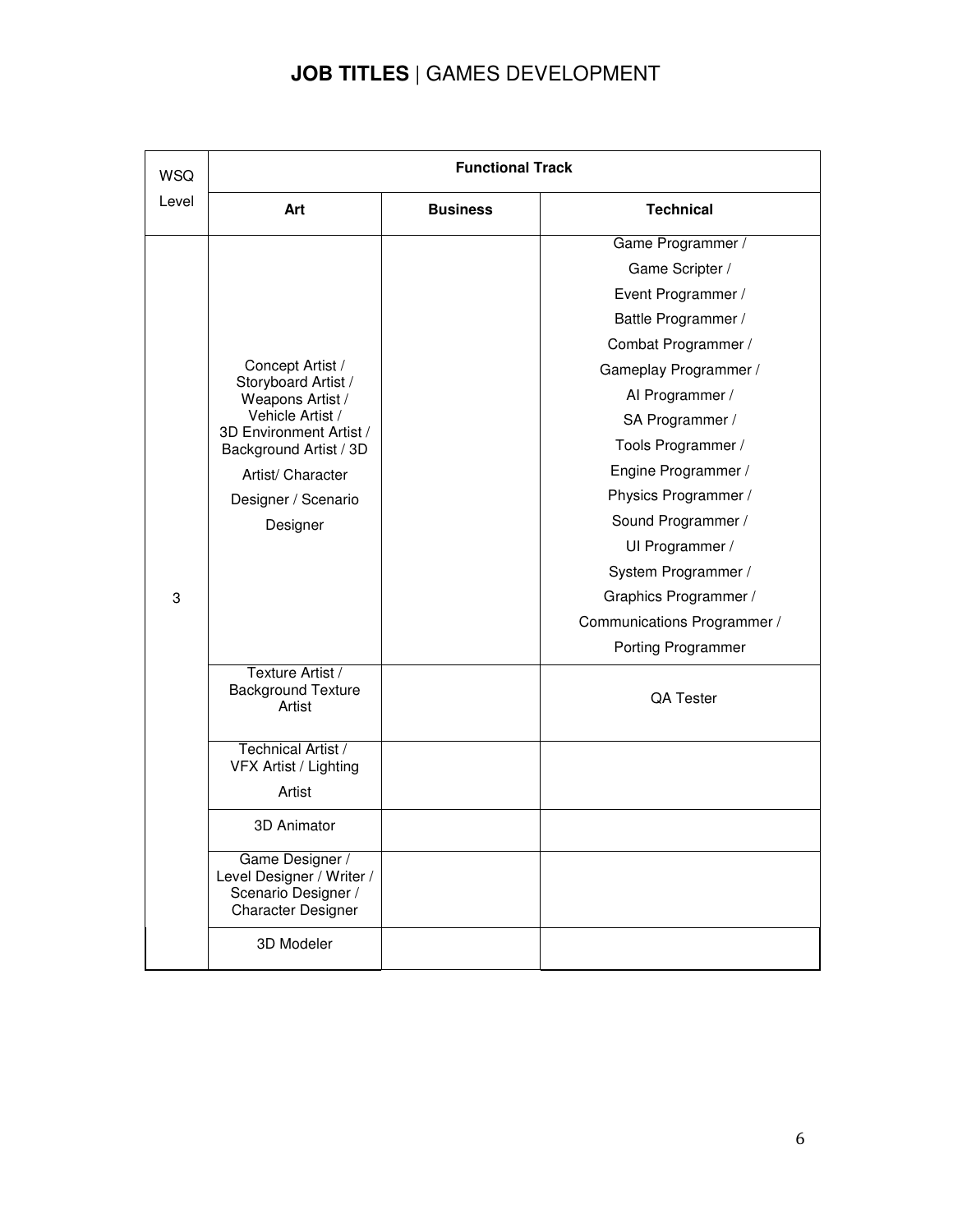#### **JOB TITLES** | GAMES DEVELOPMENT

| <b>WSQ</b> | <b>Functional Track</b>                                                                          |                 |                             |  |  |
|------------|--------------------------------------------------------------------------------------------------|-----------------|-----------------------------|--|--|
| Level      | Art                                                                                              | <b>Business</b> | <b>Technical</b>            |  |  |
|            |                                                                                                  |                 | Game Programmer /           |  |  |
|            |                                                                                                  |                 | Game Scripter /             |  |  |
|            |                                                                                                  |                 | Event Programmer /          |  |  |
|            |                                                                                                  |                 | Battle Programmer /         |  |  |
|            |                                                                                                  |                 | Combat Programmer /         |  |  |
|            | Concept Artist /<br>Storyboard Artist /                                                          |                 | Gameplay Programmer /       |  |  |
|            | Weapons Artist /                                                                                 |                 | Al Programmer /             |  |  |
|            | Vehicle Artist /<br>3D Environment Artist /                                                      |                 | SA Programmer /             |  |  |
|            | Background Artist / 3D                                                                           |                 | Tools Programmer /          |  |  |
|            | Artist/ Character                                                                                |                 | Engine Programmer /         |  |  |
|            | Designer / Scenario                                                                              |                 | Physics Programmer /        |  |  |
|            | Designer                                                                                         |                 | Sound Programmer /          |  |  |
|            |                                                                                                  |                 | UI Programmer /             |  |  |
|            |                                                                                                  |                 | System Programmer /         |  |  |
| 3          |                                                                                                  |                 | Graphics Programmer /       |  |  |
|            |                                                                                                  |                 | Communications Programmer / |  |  |
|            |                                                                                                  |                 | Porting Programmer          |  |  |
|            | Texture Artist /<br><b>Background Texture</b><br>Artist                                          |                 | <b>QA Tester</b>            |  |  |
|            | Technical Artist /<br>VFX Artist / Lighting                                                      |                 |                             |  |  |
|            | Artist                                                                                           |                 |                             |  |  |
|            | 3D Animator                                                                                      |                 |                             |  |  |
|            | Game Designer /<br>Level Designer / Writer /<br>Scenario Designer /<br><b>Character Designer</b> |                 |                             |  |  |
|            | 3D Modeler                                                                                       |                 |                             |  |  |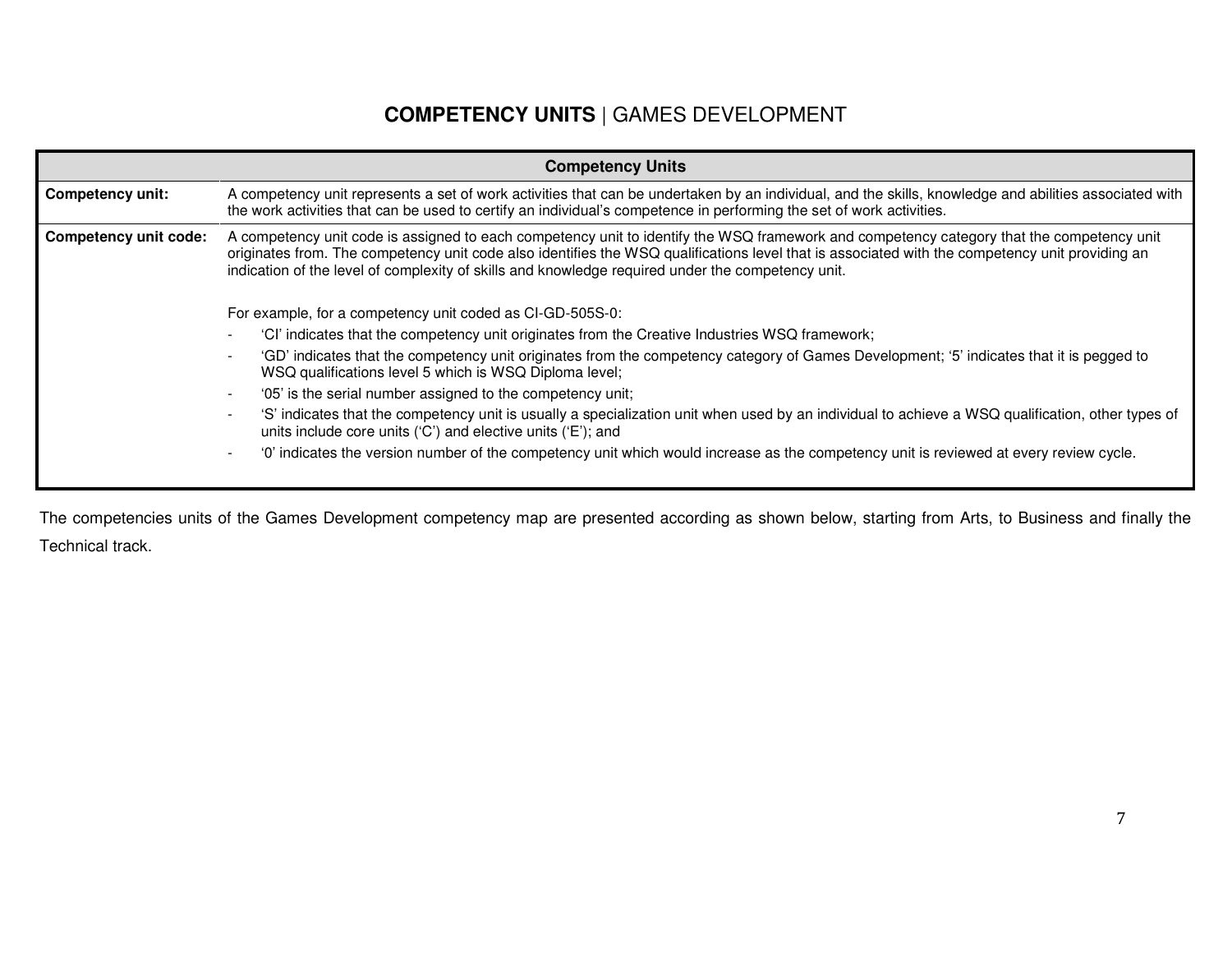#### **COMPETENCY UNITS** | GAMES DEVELOPMENT

|                                                           | <b>Competency Units</b>                                                                                                                                                                                                                                                                                                                                                                           |  |  |  |  |  |
|-----------------------------------------------------------|---------------------------------------------------------------------------------------------------------------------------------------------------------------------------------------------------------------------------------------------------------------------------------------------------------------------------------------------------------------------------------------------------|--|--|--|--|--|
| <b>Competency unit:</b>                                   | A competency unit represents a set of work activities that can be undertaken by an individual, and the skills, knowledge and abilities associated with<br>the work activities that can be used to certify an individual's competence in performing the set of work activities.                                                                                                                    |  |  |  |  |  |
| <b>Competency unit code:</b>                              | A competency unit code is assigned to each competency unit to identify the WSQ framework and competency category that the competency unit<br>originates from. The competency unit code also identifies the WSQ qualifications level that is associated with the competency unit providing an<br>indication of the level of complexity of skills and knowledge required under the competency unit. |  |  |  |  |  |
| For example, for a competency unit coded as CI-GD-505S-0: |                                                                                                                                                                                                                                                                                                                                                                                                   |  |  |  |  |  |
|                                                           | 'Cl' indicates that the competency unit originates from the Creative Industries WSQ framework;                                                                                                                                                                                                                                                                                                    |  |  |  |  |  |
|                                                           | 'GD' indicates that the competency unit originates from the competency category of Games Development; '5' indicates that it is pegged to<br>WSQ qualifications level 5 which is WSQ Diploma level;                                                                                                                                                                                                |  |  |  |  |  |
|                                                           | '05' is the serial number assigned to the competency unit;                                                                                                                                                                                                                                                                                                                                        |  |  |  |  |  |
|                                                           | 'S' indicates that the competency unit is usually a specialization unit when used by an individual to achieve a WSQ qualification, other types of<br>units include core units ('C') and elective units ('E'); and                                                                                                                                                                                 |  |  |  |  |  |
|                                                           | '0' indicates the version number of the competency unit which would increase as the competency unit is reviewed at every review cycle.                                                                                                                                                                                                                                                            |  |  |  |  |  |
|                                                           |                                                                                                                                                                                                                                                                                                                                                                                                   |  |  |  |  |  |

The competencies units of the Games Development competency map are presented according as shown below, starting from Arts, to Business and finally the Technical track.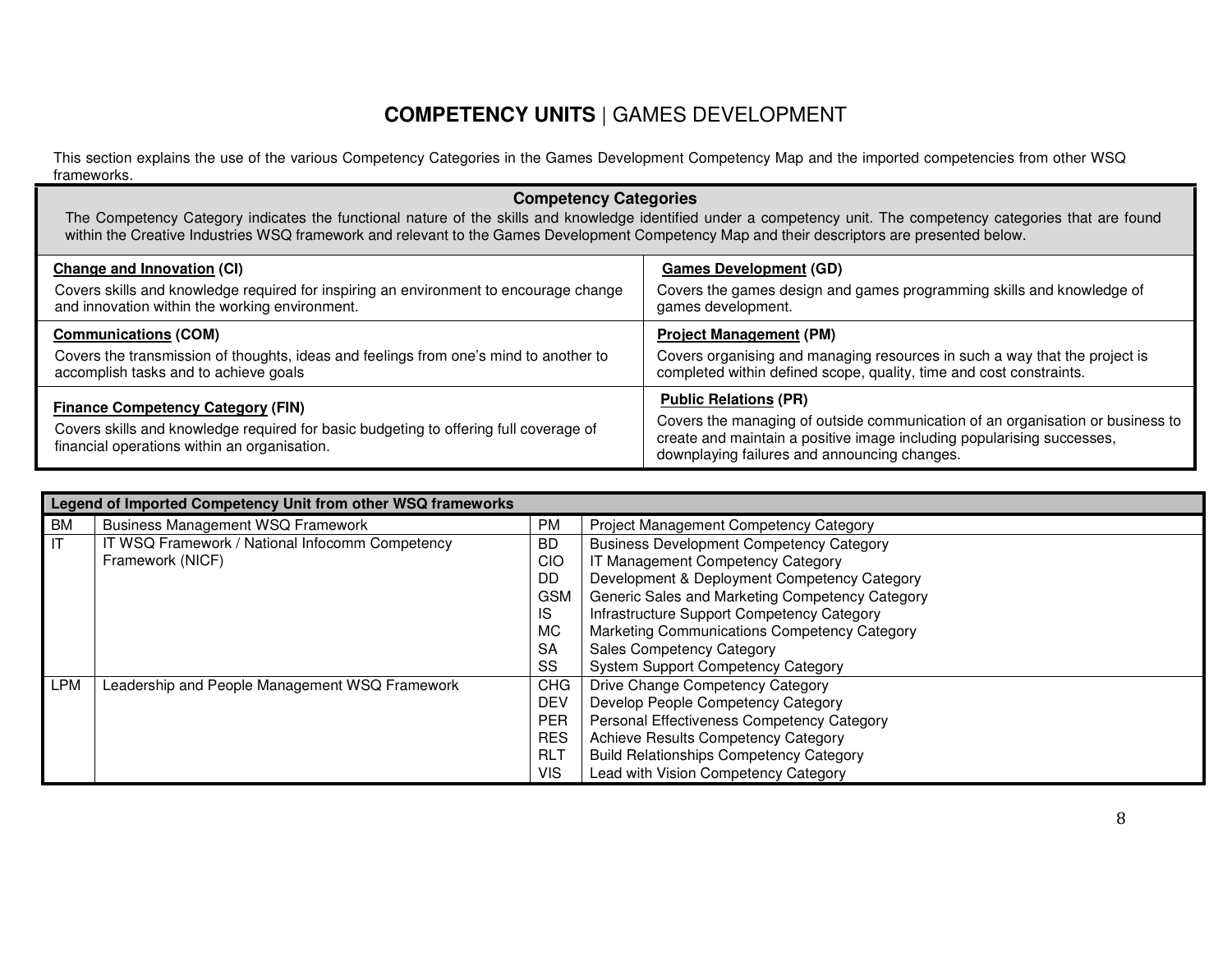#### **COMPETENCY UNITS** | GAMES DEVELOPMENT

This section explains the use of the various Competency Categories in the Games Development Competency Map and the imported competencies from other WSQ frameworks.

#### **Competency Categories**  The Competency Category indicates the functional nature of the skills and knowledge identified under a competency unit. The competency categories that are found within the Creative Industries WSQ framework and relevant to the Games Development Competency Map and their descriptors are presented below. **Change and Innovation (CI)** Covers skills and knowledge required for inspiring an environment to encourage change and innovation within the working environment. **Games Development (GD)** Covers the games design and games programming skills and knowledge of games development. **Communications (COM)** Covers the transmission of thoughts, ideas and feelings from one's mind to another to accomplish tasks and to achieve goals **Project Management (PM)** Covers organising and managing resources in such a way that the project is completed within defined scope, quality, time and cost constraints. **Finance Competency Category (FIN)** Covers skills and knowledge required for basic budgeting to offering full coverage of financial operations within an organisation. **Public Relations (PR)** Covers the managing of outside communication of an organisation or business to create and maintain a positive image including popularising successes, downplaying failures and announcing changes.

|           | Legend of Imported Competency Unit from other WSQ frameworks |                 |                                                 |
|-----------|--------------------------------------------------------------|-----------------|-------------------------------------------------|
| <b>BM</b> | <b>Business Management WSQ Framework</b>                     | <b>PM</b>       | <b>Project Management Competency Category</b>   |
| IT        | IT WSQ Framework / National Infocomm Competency              | <b>BD</b>       | <b>Business Development Competency Category</b> |
|           | Framework (NICF)                                             | CIO             | IT Management Competency Category               |
|           |                                                              | DD              | Development & Deployment Competency Category    |
|           |                                                              | <b>GSM</b>      | Generic Sales and Marketing Competency Category |
|           |                                                              | IS              | Infrastructure Support Competency Category      |
|           |                                                              | <b>MC</b>       | Marketing Communications Competency Category    |
|           |                                                              | <b>SA</b>       | <b>Sales Competency Category</b>                |
|           |                                                              | SS              | <b>System Support Competency Category</b>       |
| LPM       | Leadership and People Management WSQ Framework               | <b>CHG</b>      | Drive Change Competency Category                |
|           |                                                              | <b>DEV</b>      | Develop People Competency Category              |
|           |                                                              | <b>PER</b>      | Personal Effectiveness Competency Category      |
|           |                                                              | <b>RES</b>      | Achieve Results Competency Category             |
|           |                                                              | RL <sub>1</sub> | <b>Build Relationships Competency Category</b>  |
|           |                                                              | <b>VIS</b>      | Lead with Vision Competency Category            |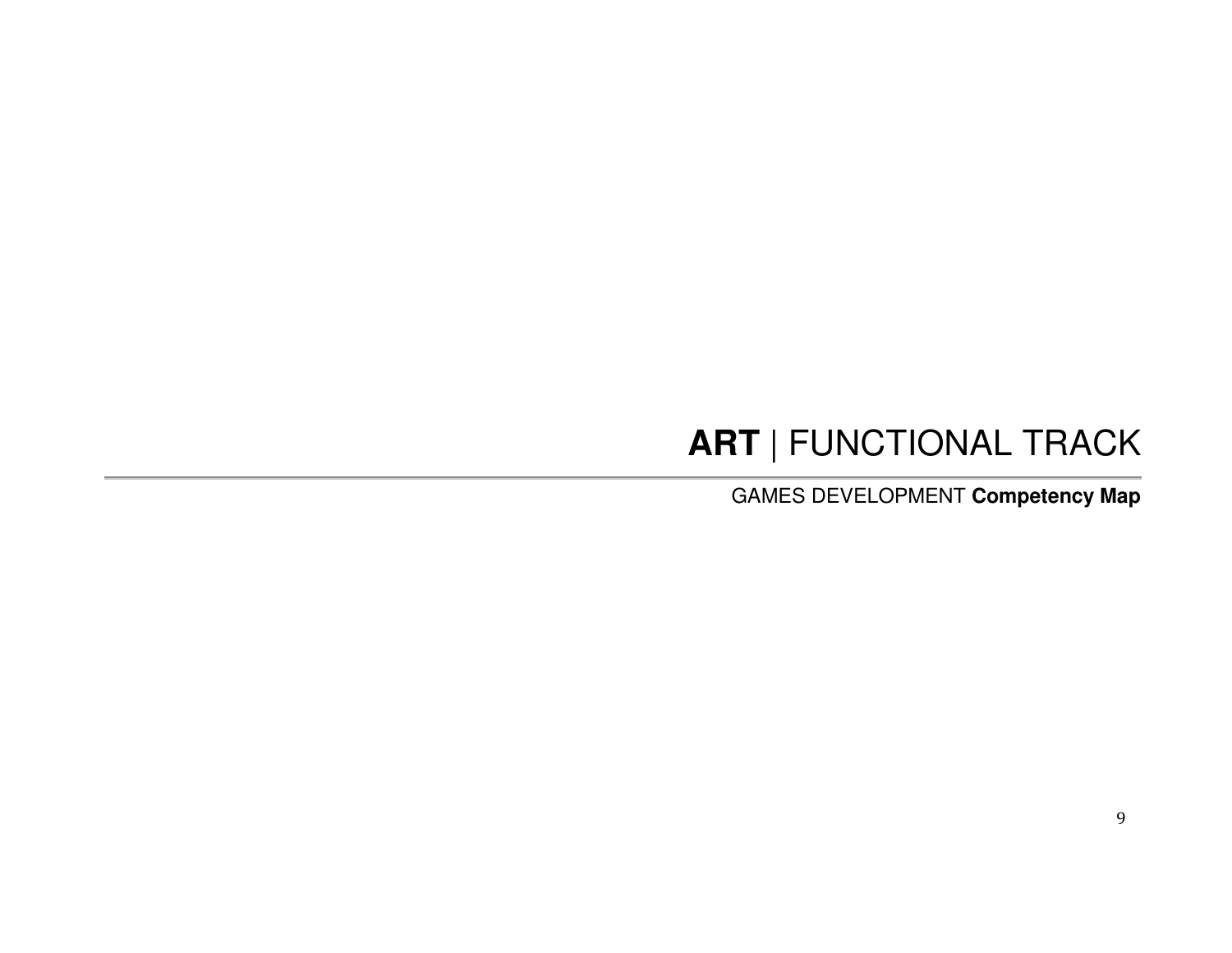# **ART** | FUNCTIONAL TRACK

GAMES DEVELOPMENT **Competency Map**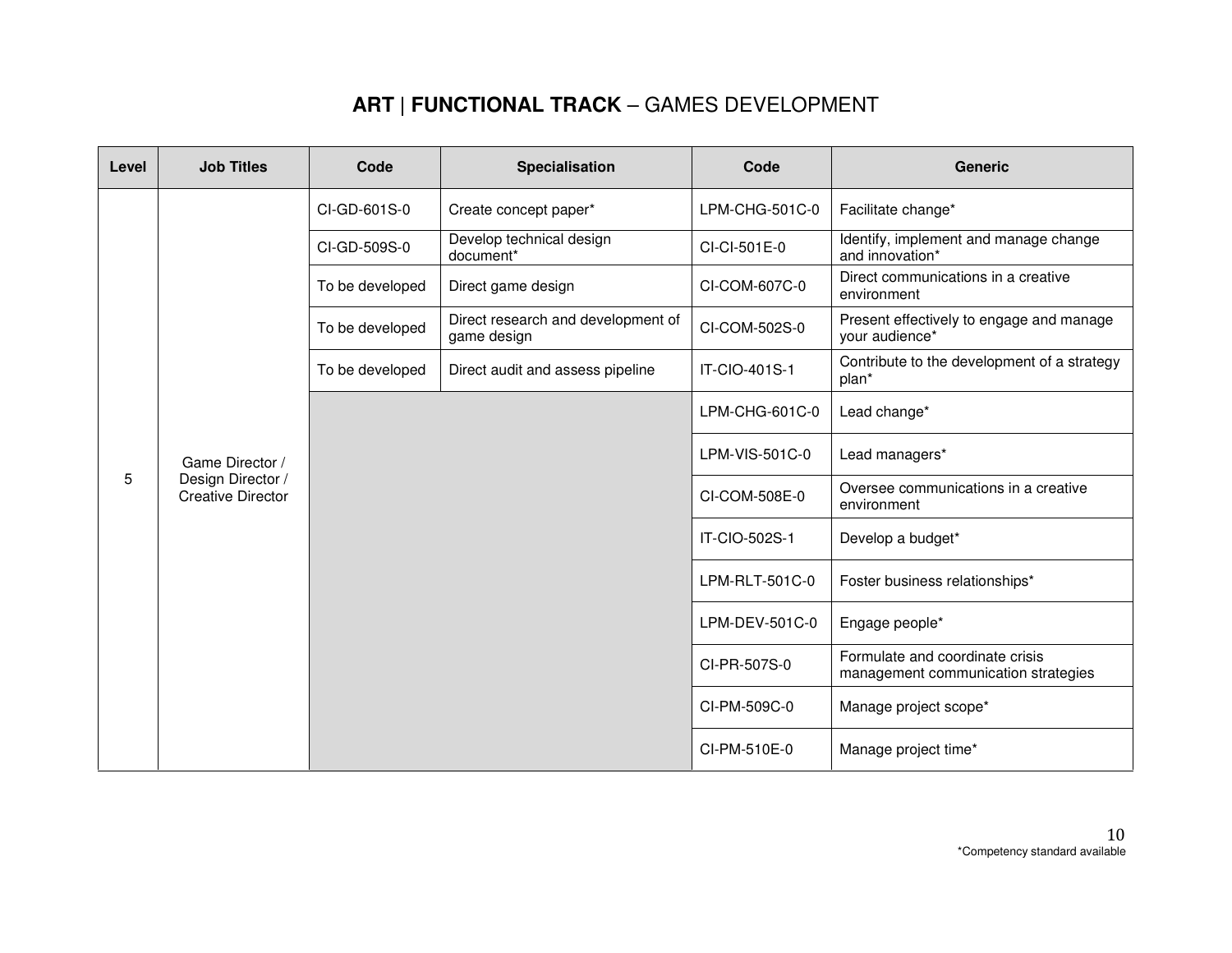| Level | <b>Job Titles</b>                             | Code            | Specialisation                                    | Code                  | <b>Generic</b>                                                         |                    |
|-------|-----------------------------------------------|-----------------|---------------------------------------------------|-----------------------|------------------------------------------------------------------------|--------------------|
|       |                                               |                 | CI-GD-601S-0                                      | Create concept paper* | LPM-CHG-501C-0                                                         | Facilitate change* |
|       |                                               | CI-GD-509S-0    | Develop technical design<br>document*             | CI-CI-501E-0          | Identify, implement and manage change<br>and innovation*               |                    |
|       |                                               | To be developed | Direct game design                                | CI-COM-607C-0         | Direct communications in a creative<br>environment                     |                    |
|       |                                               | To be developed | Direct research and development of<br>game design | CI-COM-502S-0         | Present effectively to engage and manage<br>your audience*             |                    |
|       |                                               | To be developed | Direct audit and assess pipeline                  | IT-CIO-401S-1         | Contribute to the development of a strategy<br>plan*                   |                    |
|       | Game Director /                               |                 |                                                   | LPM-CHG-601C-0        | Lead change*                                                           |                    |
|       |                                               |                 |                                                   | LPM-VIS-501C-0        | Lead managers*                                                         |                    |
| 5     | Design Director /<br><b>Creative Director</b> |                 |                                                   | CI-COM-508E-0         | Oversee communications in a creative<br>environment                    |                    |
|       |                                               |                 |                                                   | IT-CIO-502S-1         | Develop a budget*                                                      |                    |
|       |                                               |                 |                                                   | LPM-RLT-501C-0        | Foster business relationships*                                         |                    |
|       |                                               |                 |                                                   | LPM-DEV-501C-0        | Engage people*                                                         |                    |
|       |                                               |                 |                                                   | CI-PR-507S-0          | Formulate and coordinate crisis<br>management communication strategies |                    |
|       |                                               |                 |                                                   | CI-PM-509C-0          | Manage project scope*                                                  |                    |
|       |                                               |                 |                                                   | CI-PM-510E-0          | Manage project time*                                                   |                    |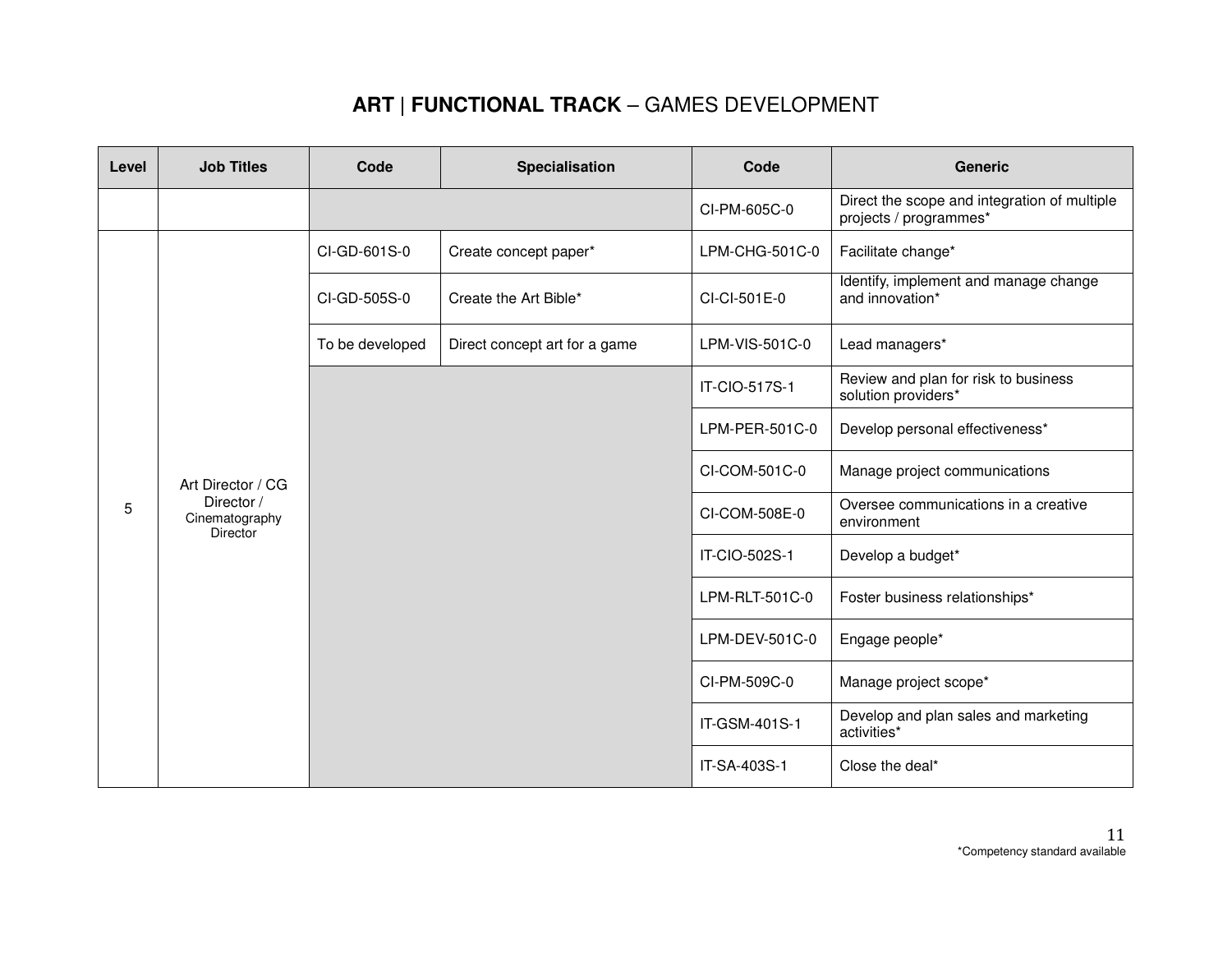| Level | <b>Job Titles</b>                               | Code            | Specialisation                | Code           | <b>Generic</b>                                                         |
|-------|-------------------------------------------------|-----------------|-------------------------------|----------------|------------------------------------------------------------------------|
|       |                                                 |                 |                               | CI-PM-605C-0   | Direct the scope and integration of multiple<br>projects / programmes* |
|       |                                                 | CI-GD-601S-0    | Create concept paper*         | LPM-CHG-501C-0 | Facilitate change*                                                     |
|       |                                                 | CI-GD-505S-0    | Create the Art Bible*         | CI-CI-501E-0   | Identify, implement and manage change<br>and innovation*               |
|       |                                                 | To be developed | Direct concept art for a game | LPM-VIS-501C-0 | Lead managers*                                                         |
|       |                                                 |                 |                               | IT-CIO-517S-1  | Review and plan for risk to business<br>solution providers*            |
|       |                                                 |                 |                               | LPM-PER-501C-0 | Develop personal effectiveness*                                        |
|       | Art Director / CG                               |                 |                               | CI-COM-501C-0  | Manage project communications                                          |
| 5     | Director /<br>Cinematography<br><b>Director</b> |                 |                               | CI-COM-508E-0  | Oversee communications in a creative<br>environment                    |
|       |                                                 |                 |                               | IT-CIO-502S-1  | Develop a budget*                                                      |
|       |                                                 |                 |                               | LPM-RLT-501C-0 | Foster business relationships*                                         |
|       |                                                 |                 |                               | LPM-DEV-501C-0 | Engage people*                                                         |
|       |                                                 |                 |                               | CI-PM-509C-0   | Manage project scope*                                                  |
|       |                                                 |                 |                               | IT-GSM-401S-1  | Develop and plan sales and marketing<br>activities*                    |
|       |                                                 |                 |                               | IT-SA-403S-1   | Close the deal*                                                        |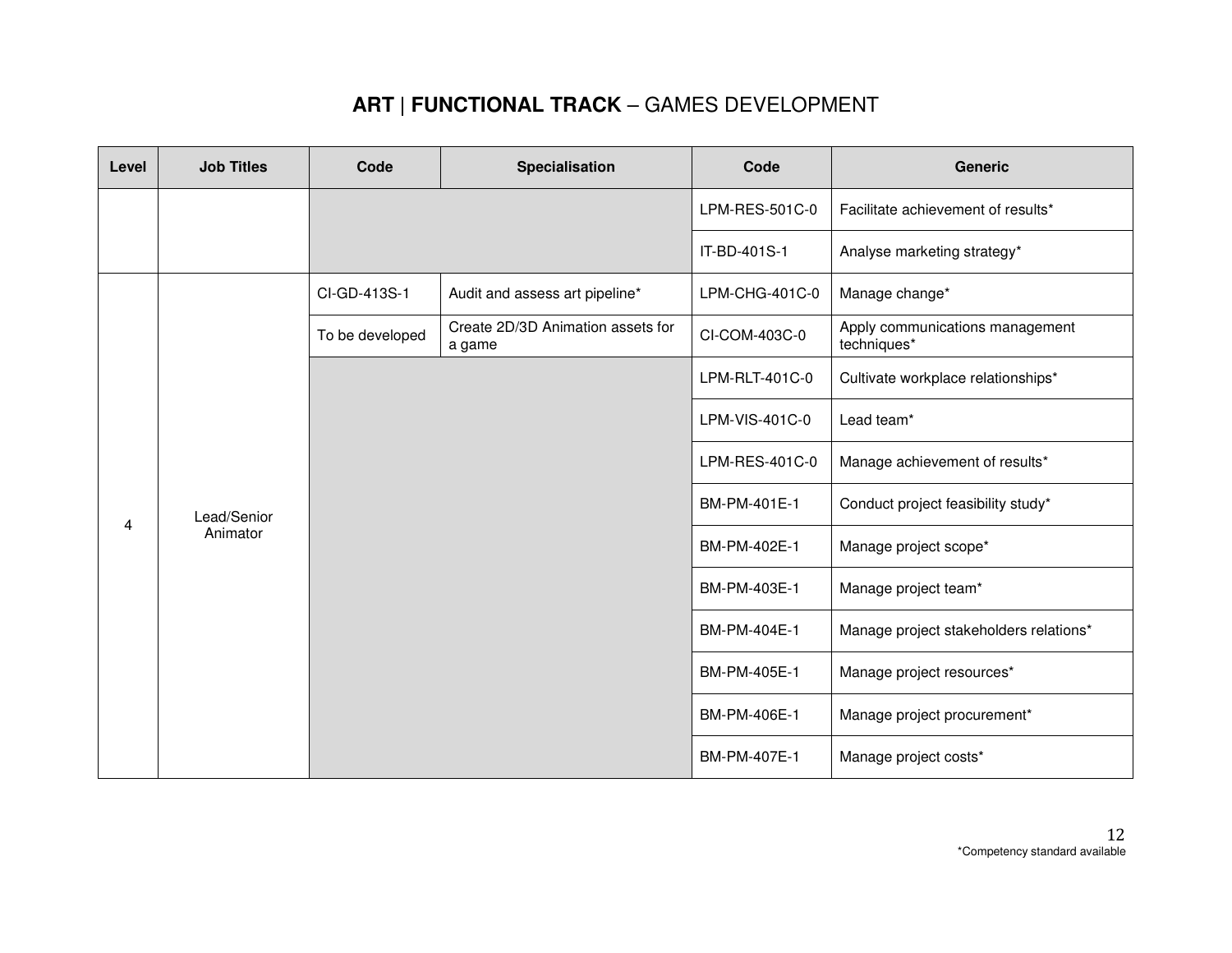| Level | <b>Job Titles</b> | Code            | Specialisation                              | Code           | <b>Generic</b>                                 |
|-------|-------------------|-----------------|---------------------------------------------|----------------|------------------------------------------------|
|       |                   |                 |                                             | LPM-RES-501C-0 | Facilitate achievement of results*             |
|       |                   |                 |                                             | IT-BD-401S-1   | Analyse marketing strategy*                    |
|       |                   | CI-GD-413S-1    | Audit and assess art pipeline*              | LPM-CHG-401C-0 | Manage change*                                 |
|       |                   | To be developed | Create 2D/3D Animation assets for<br>a game | CI-COM-403C-0  | Apply communications management<br>techniques* |
|       |                   |                 |                                             | LPM-RLT-401C-0 | Cultivate workplace relationships*             |
|       |                   |                 |                                             | LPM-VIS-401C-0 | Lead team*                                     |
|       |                   |                 |                                             | LPM-RES-401C-0 | Manage achievement of results*                 |
| 4     | Lead/Senior       |                 |                                             | BM-PM-401E-1   | Conduct project feasibility study*             |
|       | Animator          |                 |                                             | BM-PM-402E-1   | Manage project scope*                          |
|       |                   |                 |                                             | BM-PM-403E-1   | Manage project team*                           |
|       |                   |                 |                                             | BM-PM-404E-1   | Manage project stakeholders relations*         |
|       |                   |                 |                                             | BM-PM-405E-1   | Manage project resources*                      |
|       |                   |                 |                                             | BM-PM-406E-1   | Manage project procurement*                    |
|       |                   |                 |                                             | BM-PM-407E-1   | Manage project costs*                          |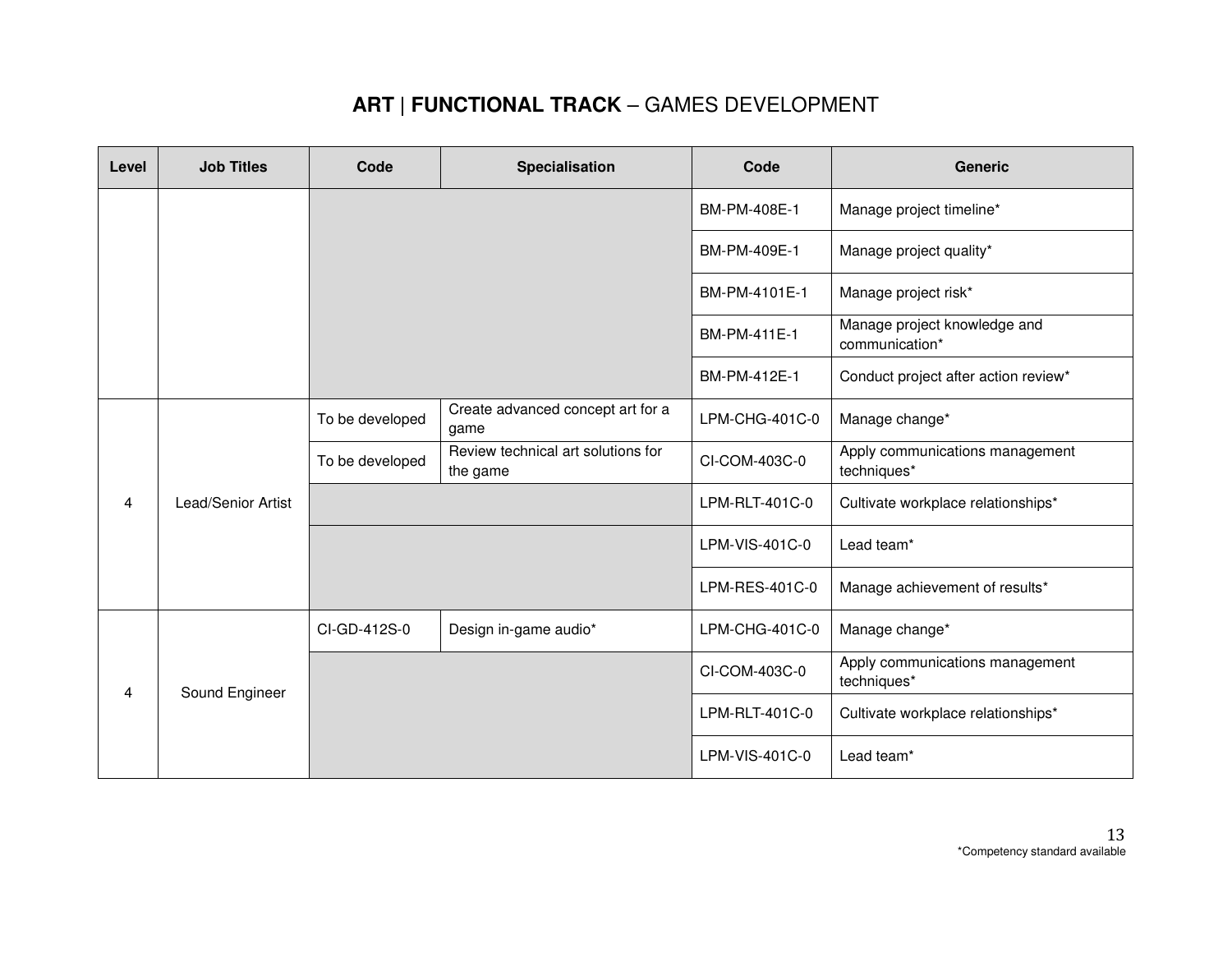| Level | <b>Job Titles</b>  | Code            | Specialisation                                 | Code           | <b>Generic</b>                                 |
|-------|--------------------|-----------------|------------------------------------------------|----------------|------------------------------------------------|
|       |                    |                 |                                                | BM-PM-408E-1   | Manage project timeline*                       |
|       |                    |                 |                                                | BM-PM-409E-1   | Manage project quality*                        |
|       |                    |                 |                                                | BM-PM-4101E-1  | Manage project risk*                           |
|       |                    |                 |                                                | BM-PM-411E-1   | Manage project knowledge and<br>communication* |
|       |                    |                 |                                                | BM-PM-412E-1   | Conduct project after action review*           |
|       |                    | To be developed | Create advanced concept art for a<br>game      | LPM-CHG-401C-0 | Manage change*                                 |
|       |                    | To be developed | Review technical art solutions for<br>the game | CI-COM-403C-0  | Apply communications management<br>techniques* |
| 4     | Lead/Senior Artist |                 |                                                | LPM-RLT-401C-0 | Cultivate workplace relationships*             |
|       |                    |                 |                                                | LPM-VIS-401C-0 | Lead team*                                     |
|       |                    |                 |                                                | LPM-RES-401C-0 | Manage achievement of results*                 |
| 4     |                    | CI-GD-412S-0    | Design in-game audio*                          | LPM-CHG-401C-0 | Manage change*                                 |
|       | Sound Engineer     |                 |                                                | CI-COM-403C-0  | Apply communications management<br>techniques* |
|       |                    |                 |                                                | LPM-RLT-401C-0 | Cultivate workplace relationships*             |
|       |                    |                 |                                                | LPM-VIS-401C-0 | Lead team*                                     |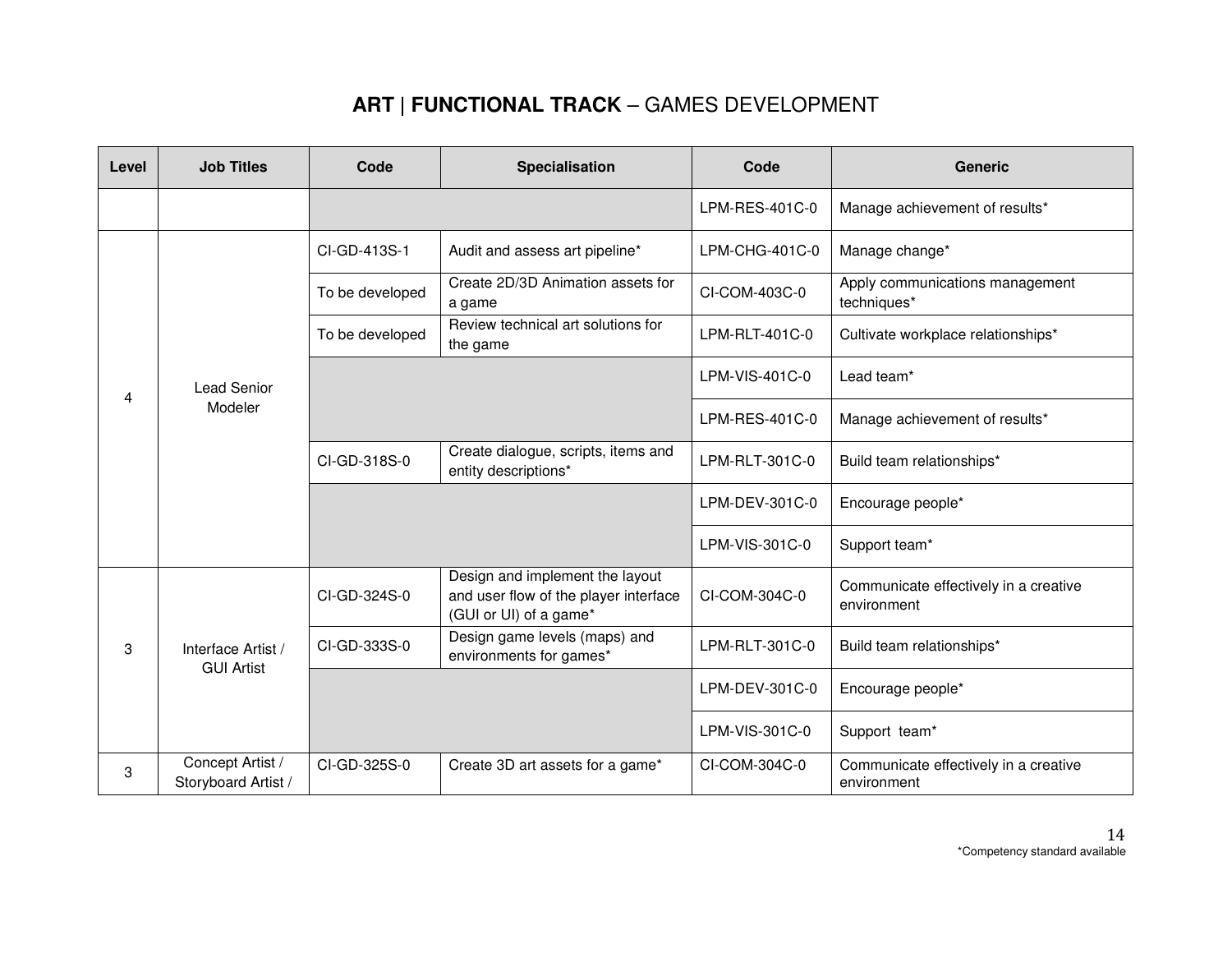| Level | <b>Job Titles</b>                       | Code            | <b>Specialisation</b>                                                                              | Code           | <b>Generic</b>                                       |
|-------|-----------------------------------------|-----------------|----------------------------------------------------------------------------------------------------|----------------|------------------------------------------------------|
|       |                                         |                 |                                                                                                    | LPM-RES-401C-0 | Manage achievement of results*                       |
|       |                                         | CI-GD-413S-1    | Audit and assess art pipeline*                                                                     | LPM-CHG-401C-0 | Manage change*                                       |
|       |                                         | To be developed | Create 2D/3D Animation assets for<br>a game                                                        | CI-COM-403C-0  | Apply communications management<br>techniques*       |
|       |                                         | To be developed | Review technical art solutions for<br>the game                                                     | LPM-RLT-401C-0 | Cultivate workplace relationships*                   |
| 4     | <b>Lead Senior</b>                      |                 |                                                                                                    | LPM-VIS-401C-0 | Lead team*                                           |
|       | Modeler                                 |                 |                                                                                                    | LPM-RES-401C-0 | Manage achievement of results*                       |
|       |                                         | CI-GD-318S-0    | Create dialogue, scripts, items and<br>entity descriptions*                                        | LPM-RLT-301C-0 | Build team relationships*                            |
|       |                                         |                 |                                                                                                    | LPM-DEV-301C-0 | Encourage people*                                    |
|       |                                         |                 |                                                                                                    | LPM-VIS-301C-0 | Support team*                                        |
|       |                                         | CI-GD-324S-0    | Design and implement the layout<br>and user flow of the player interface<br>(GUI or UI) of a game* | CI-COM-304C-0  | Communicate effectively in a creative<br>environment |
| 3     | Interface Artist /<br><b>GUI Artist</b> | CI-GD-333S-0    | Design game levels (maps) and<br>environments for games*                                           | LPM-RLT-301C-0 | Build team relationships*                            |
|       |                                         |                 |                                                                                                    | LPM-DEV-301C-0 | Encourage people*                                    |
|       |                                         |                 |                                                                                                    | LPM-VIS-301C-0 | Support team*                                        |
| 3     | Concept Artist /<br>Storyboard Artist / | CI-GD-325S-0    | Create 3D art assets for a game*                                                                   | CI-COM-304C-0  | Communicate effectively in a creative<br>environment |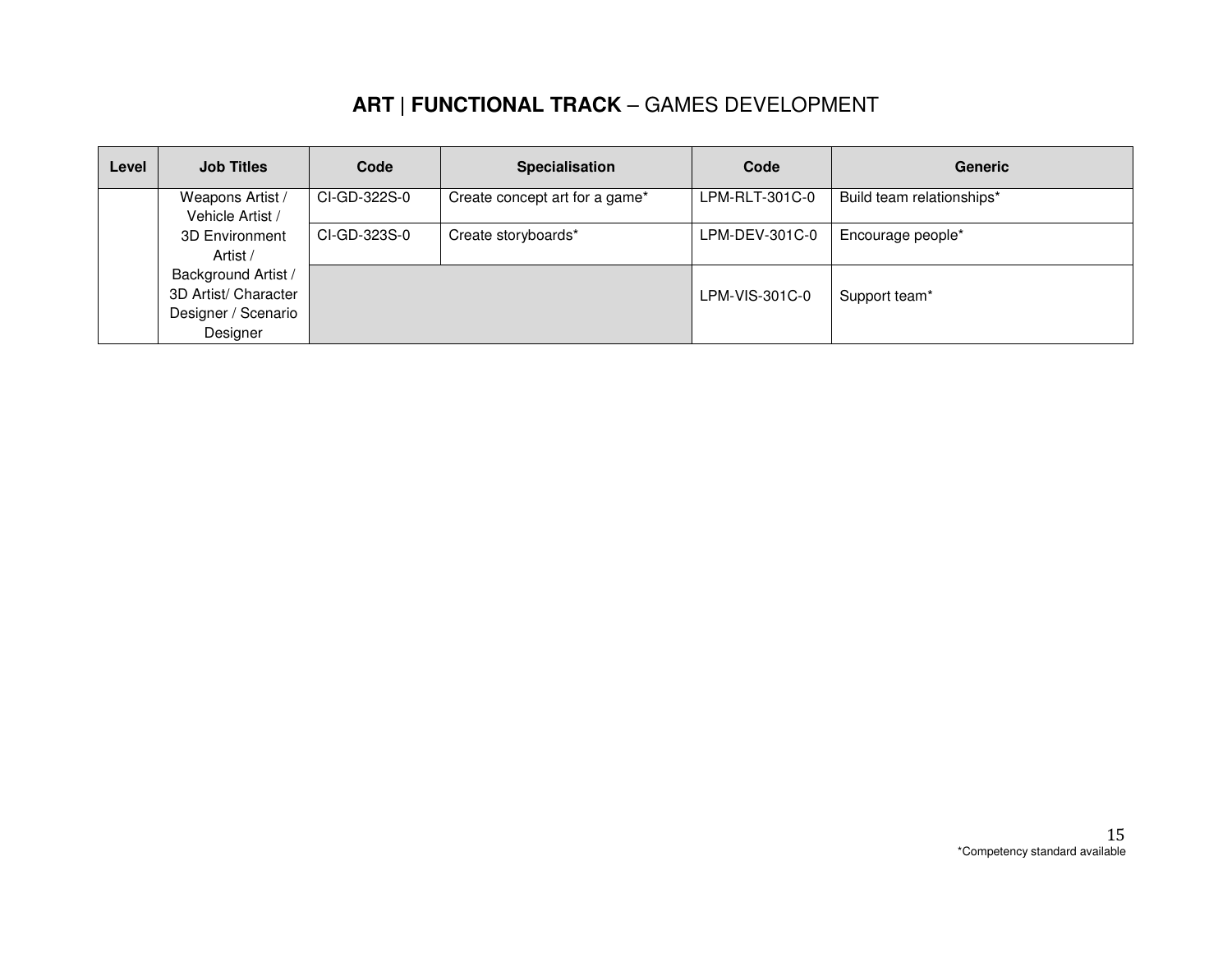| Level | <b>Job Titles</b>                           | Code         | <b>Specialisation</b>          | Code           | <b>Generic</b>            |
|-------|---------------------------------------------|--------------|--------------------------------|----------------|---------------------------|
|       | Weapons Artist /<br>Vehicle Artist /        | CI-GD-322S-0 | Create concept art for a game* | LPM-RLT-301C-0 | Build team relationships* |
|       | <b>3D Environment</b><br>Artist /           | CI-GD-323S-0 | Create storyboards*            | LPM-DEV-301C-0 | Encourage people*         |
|       | Background Artist /                         |              |                                |                |                           |
|       | 3D Artist/ Character<br>Designer / Scenario |              |                                | LPM-VIS-301C-0 | Support team*             |
|       | Designer                                    |              |                                |                |                           |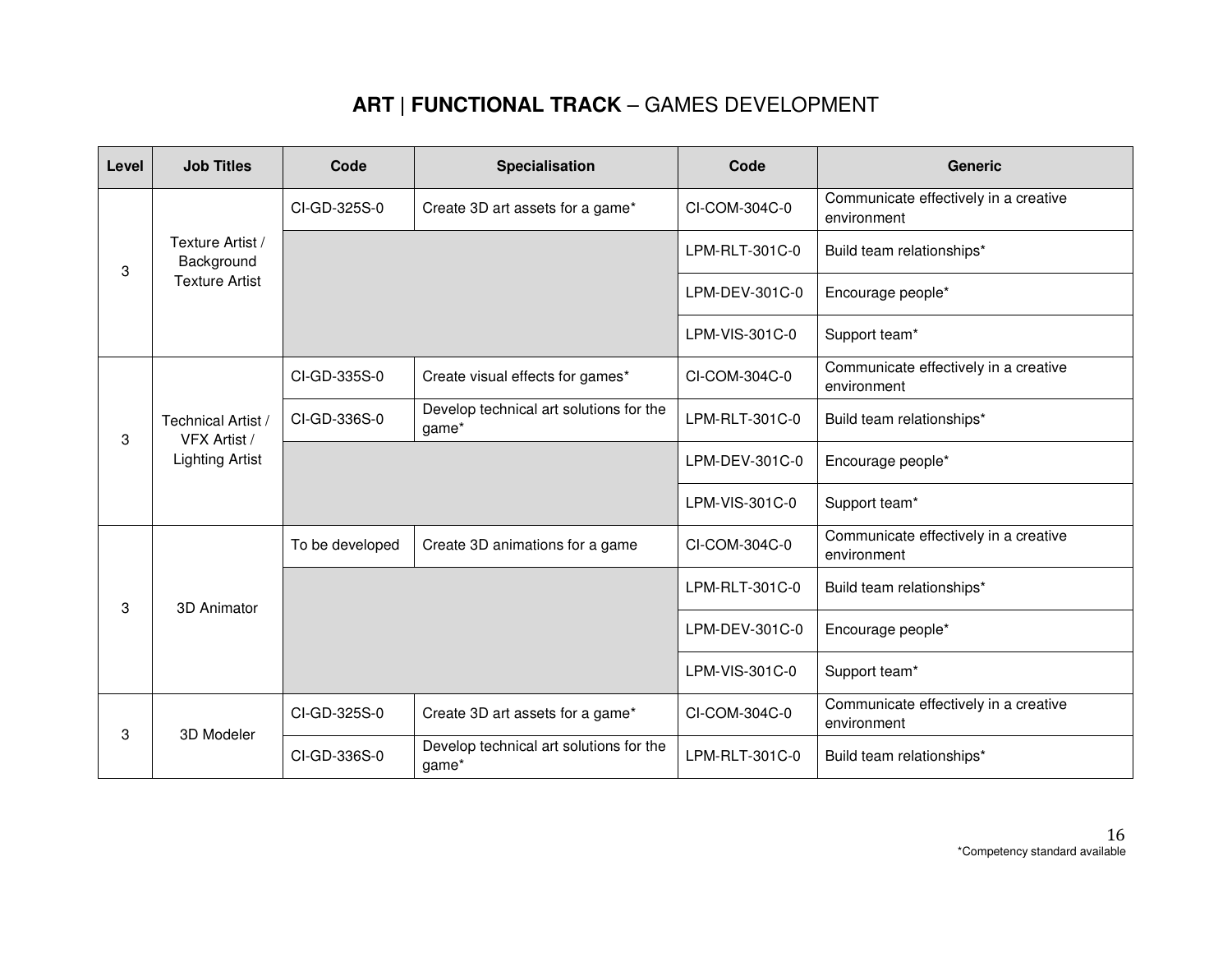| Level | <b>Job Titles</b>                                            | Code            | Specialisation                                   | Code           | <b>Generic</b>                                       |
|-------|--------------------------------------------------------------|-----------------|--------------------------------------------------|----------------|------------------------------------------------------|
|       |                                                              | CI-GD-325S-0    | Create 3D art assets for a game*                 | CI-COM-304C-0  | Communicate effectively in a creative<br>environment |
| 3     | Texture Artist /<br>Background                               |                 |                                                  | LPM-RLT-301C-0 | Build team relationships*                            |
|       | <b>Texture Artist</b>                                        |                 |                                                  | LPM-DEV-301C-0 | Encourage people*                                    |
|       |                                                              |                 |                                                  | LPM-VIS-301C-0 | Support team*                                        |
|       |                                                              | CI-GD-335S-0    | Create visual effects for games*                 | CI-COM-304C-0  | Communicate effectively in a creative<br>environment |
| 3     | Technical Artist /<br>VFX Artist /<br><b>Lighting Artist</b> | CI-GD-336S-0    | Develop technical art solutions for the<br>game* | LPM-RLT-301C-0 | Build team relationships*                            |
|       |                                                              |                 |                                                  | LPM-DEV-301C-0 | Encourage people*                                    |
|       |                                                              |                 |                                                  | LPM-VIS-301C-0 | Support team*                                        |
|       |                                                              | To be developed | Create 3D animations for a game                  | CI-COM-304C-0  | Communicate effectively in a creative<br>environment |
| 3     | 3D Animator                                                  |                 |                                                  | LPM-RLT-301C-0 | Build team relationships*                            |
|       |                                                              |                 |                                                  | LPM-DEV-301C-0 | Encourage people*                                    |
|       |                                                              |                 |                                                  | LPM-VIS-301C-0 | Support team*                                        |
| 3     |                                                              | CI-GD-325S-0    | Create 3D art assets for a game*                 | CI-COM-304C-0  | Communicate effectively in a creative<br>environment |
|       | 3D Modeler                                                   | CI-GD-336S-0    | Develop technical art solutions for the<br>game* | LPM-RLT-301C-0 | Build team relationships*                            |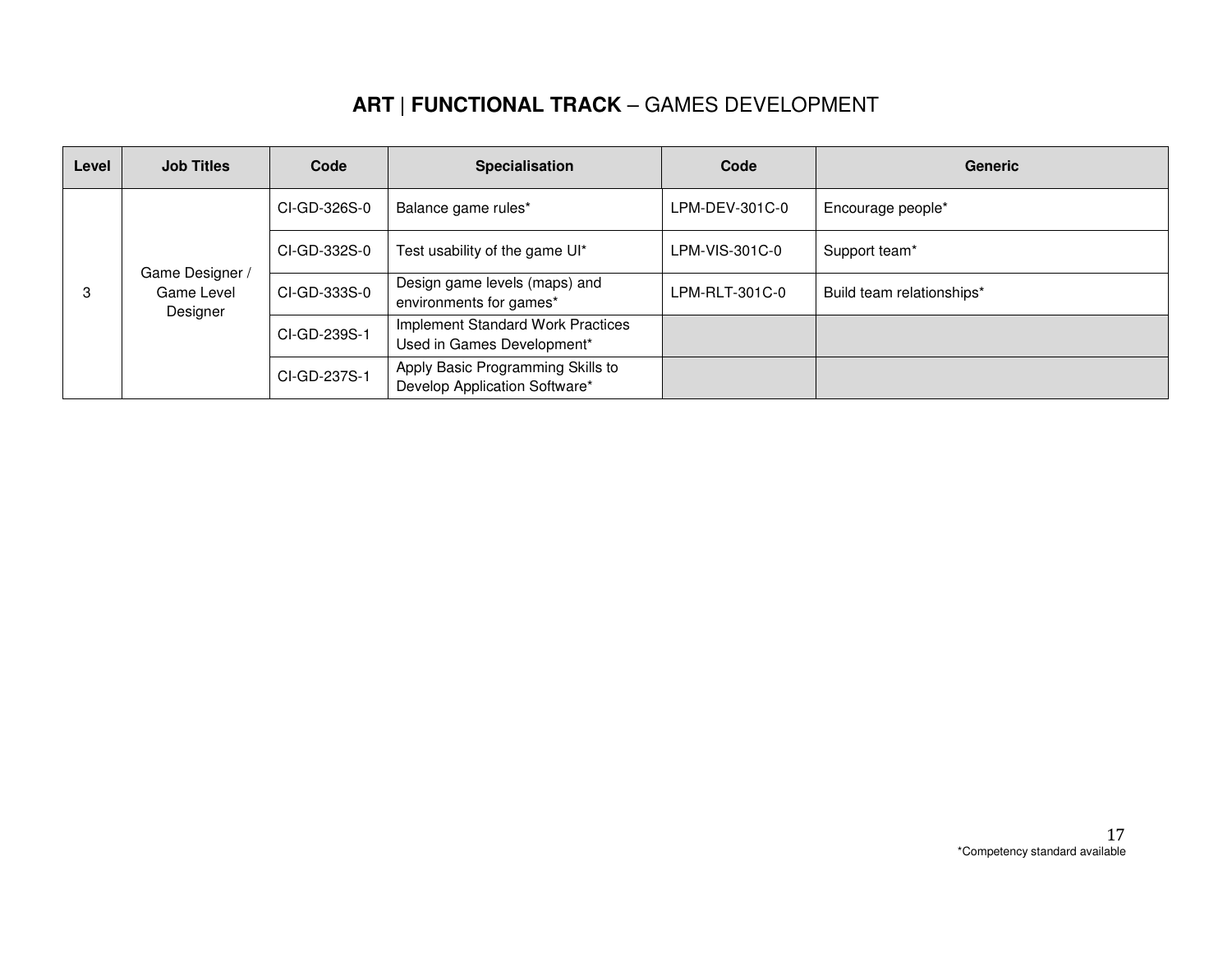| Level | <b>Job Titles</b>                         | Code         | Specialisation                                                     | Code           | <b>Generic</b>            |
|-------|-------------------------------------------|--------------|--------------------------------------------------------------------|----------------|---------------------------|
|       |                                           | CI-GD-326S-0 | Balance game rules*                                                | LPM-DEV-301C-0 | Encourage people*         |
|       |                                           | CI-GD-332S-0 | Test usability of the game UI*                                     | LPM-VIS-301C-0 | Support team*             |
| 3     | Game Designer /<br>Game Level<br>Designer | CI-GD-333S-0 | Design game levels (maps) and<br>environments for games*           | LPM-RLT-301C-0 | Build team relationships* |
|       |                                           | CI-GD-239S-1 | Implement Standard Work Practices<br>Used in Games Development*    |                |                           |
|       |                                           | CI-GD-237S-1 | Apply Basic Programming Skills to<br>Develop Application Software* |                |                           |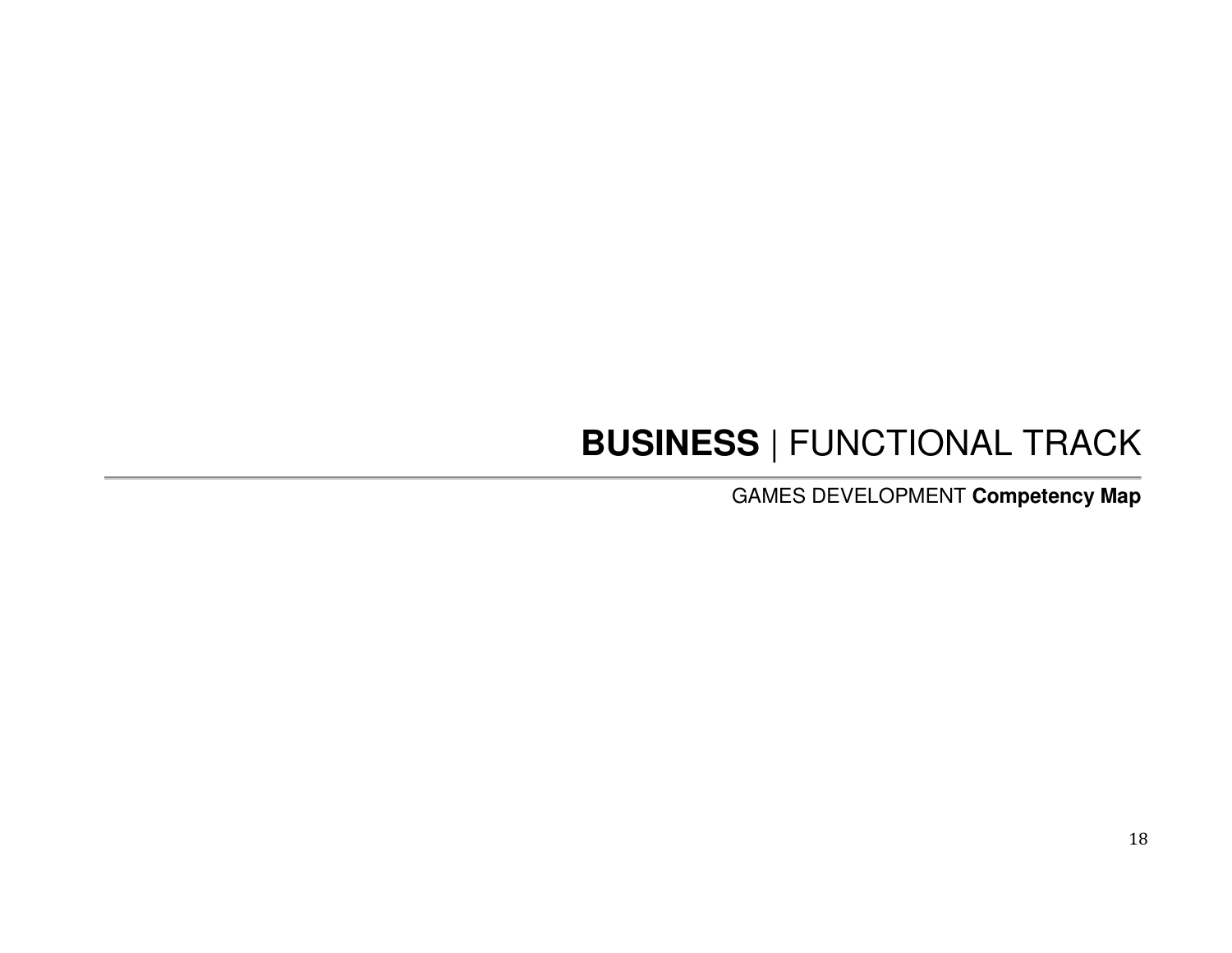# **BUSINESS** | FUNCTIONAL TRACK

GAMES DEVELOPMENT **Competency Map**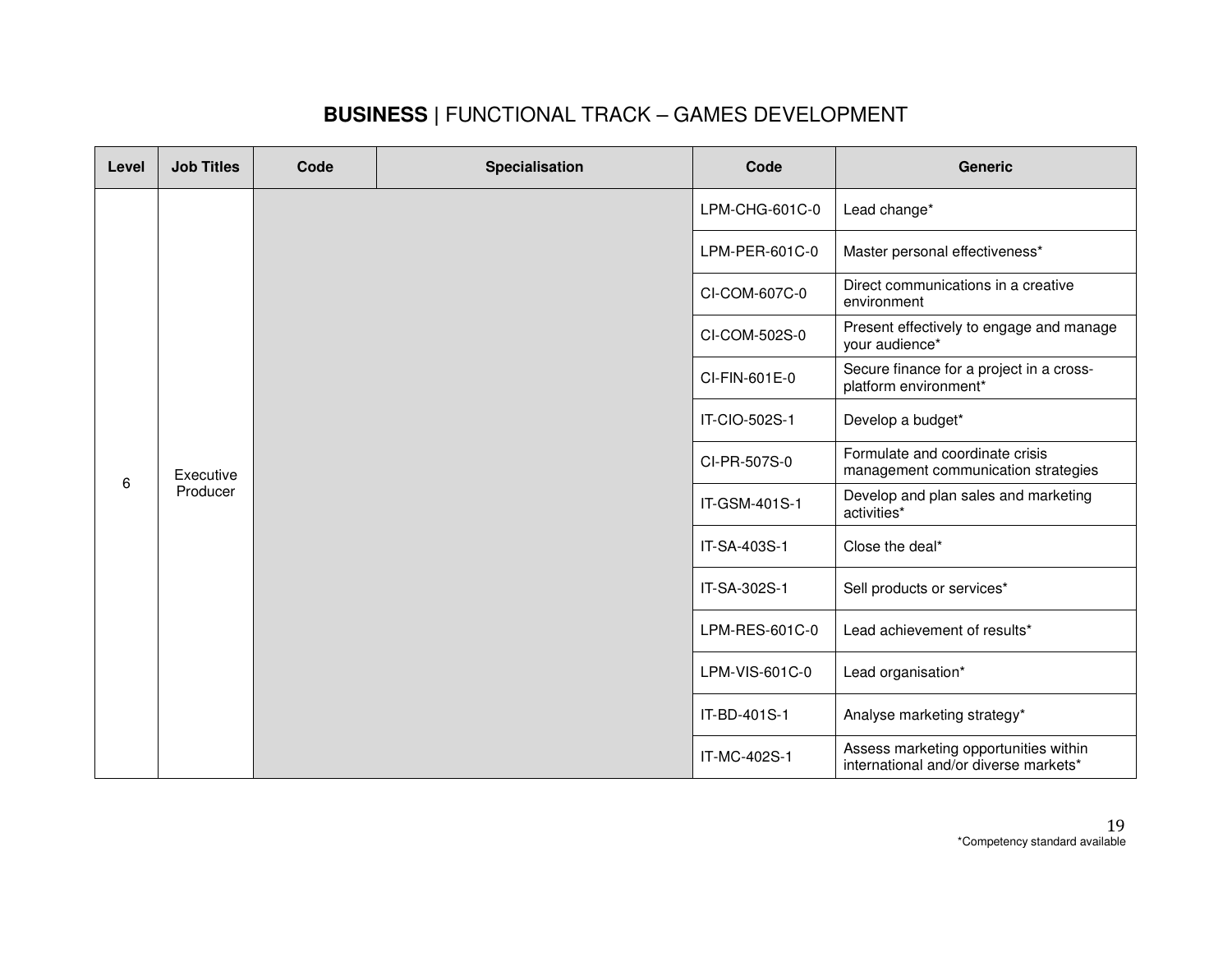### **BUSINESS |** FUNCTIONAL TRACK – GAMES DEVELOPMENT

| Level | <b>Job Titles</b>     | Code | <b>Specialisation</b> | Code                                                                   | <b>Generic</b>                                                                 |
|-------|-----------------------|------|-----------------------|------------------------------------------------------------------------|--------------------------------------------------------------------------------|
|       |                       |      |                       | LPM-CHG-601C-0                                                         | Lead change*                                                                   |
|       |                       |      |                       |                                                                        | Master personal effectiveness*                                                 |
|       |                       |      |                       | CI-COM-607C-0                                                          | Direct communications in a creative<br>environment                             |
|       |                       |      |                       | CI-COM-502S-0                                                          | Present effectively to engage and manage<br>your audience*                     |
|       | Executive<br>Producer |      | CI-FIN-601E-0         | Secure finance for a project in a cross-<br>platform environment*      |                                                                                |
|       |                       |      |                       | IT-CIO-502S-1                                                          | Develop a budget*                                                              |
|       |                       |      | CI-PR-507S-0          | Formulate and coordinate crisis<br>management communication strategies |                                                                                |
| 6     |                       |      | IT-GSM-401S-1         | Develop and plan sales and marketing<br>activities*                    |                                                                                |
|       |                       |      | IT-SA-403S-1          | Close the deal*                                                        |                                                                                |
|       |                       |      | IT-SA-302S-1          | Sell products or services*                                             |                                                                                |
|       |                       |      | LPM-RES-601C-0        | Lead achievement of results*                                           |                                                                                |
|       |                       |      |                       | LPM-VIS-601C-0                                                         | Lead organisation*                                                             |
|       |                       |      |                       | IT-BD-401S-1                                                           | Analyse marketing strategy*                                                    |
|       |                       |      |                       | IT-MC-402S-1                                                           | Assess marketing opportunities within<br>international and/or diverse markets* |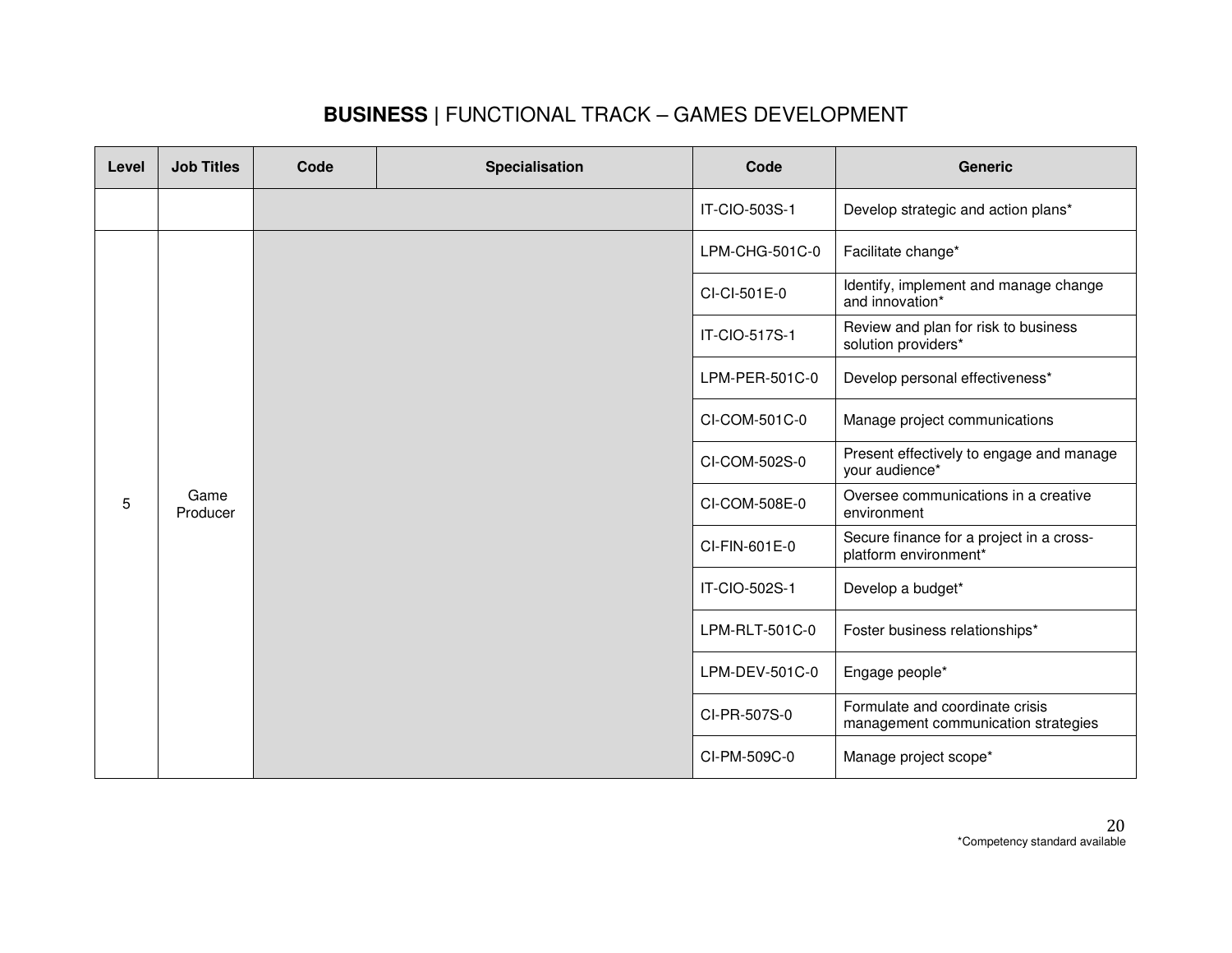### **BUSINESS |** FUNCTIONAL TRACK – GAMES DEVELOPMENT

| Level | <b>Job Titles</b> | Code | <b>Specialisation</b> | Code           | <b>Generic</b>                                                         |
|-------|-------------------|------|-----------------------|----------------|------------------------------------------------------------------------|
|       |                   |      |                       | IT-CIO-503S-1  | Develop strategic and action plans*                                    |
|       |                   |      |                       | LPM-CHG-501C-0 | Facilitate change*                                                     |
|       |                   |      |                       | CI-CI-501E-0   | Identify, implement and manage change<br>and innovation*               |
|       |                   |      |                       | IT-CIO-517S-1  | Review and plan for risk to business<br>solution providers*            |
|       |                   |      |                       | LPM-PER-501C-0 | Develop personal effectiveness*                                        |
|       | Game<br>Producer  |      |                       | CI-COM-501C-0  | Manage project communications                                          |
|       |                   |      |                       | CI-COM-502S-0  | Present effectively to engage and manage<br>your audience*             |
| 5     |                   |      |                       | CI-COM-508E-0  | Oversee communications in a creative<br>environment                    |
|       |                   |      |                       | CI-FIN-601E-0  | Secure finance for a project in a cross-<br>platform environment*      |
|       |                   |      |                       | IT-CIO-502S-1  | Develop a budget*                                                      |
|       |                   |      |                       | LPM-RLT-501C-0 | Foster business relationships*                                         |
|       |                   |      |                       | LPM-DEV-501C-0 | Engage people*                                                         |
|       |                   |      |                       | CI-PR-507S-0   | Formulate and coordinate crisis<br>management communication strategies |
|       |                   |      |                       | CI-PM-509C-0   | Manage project scope*                                                  |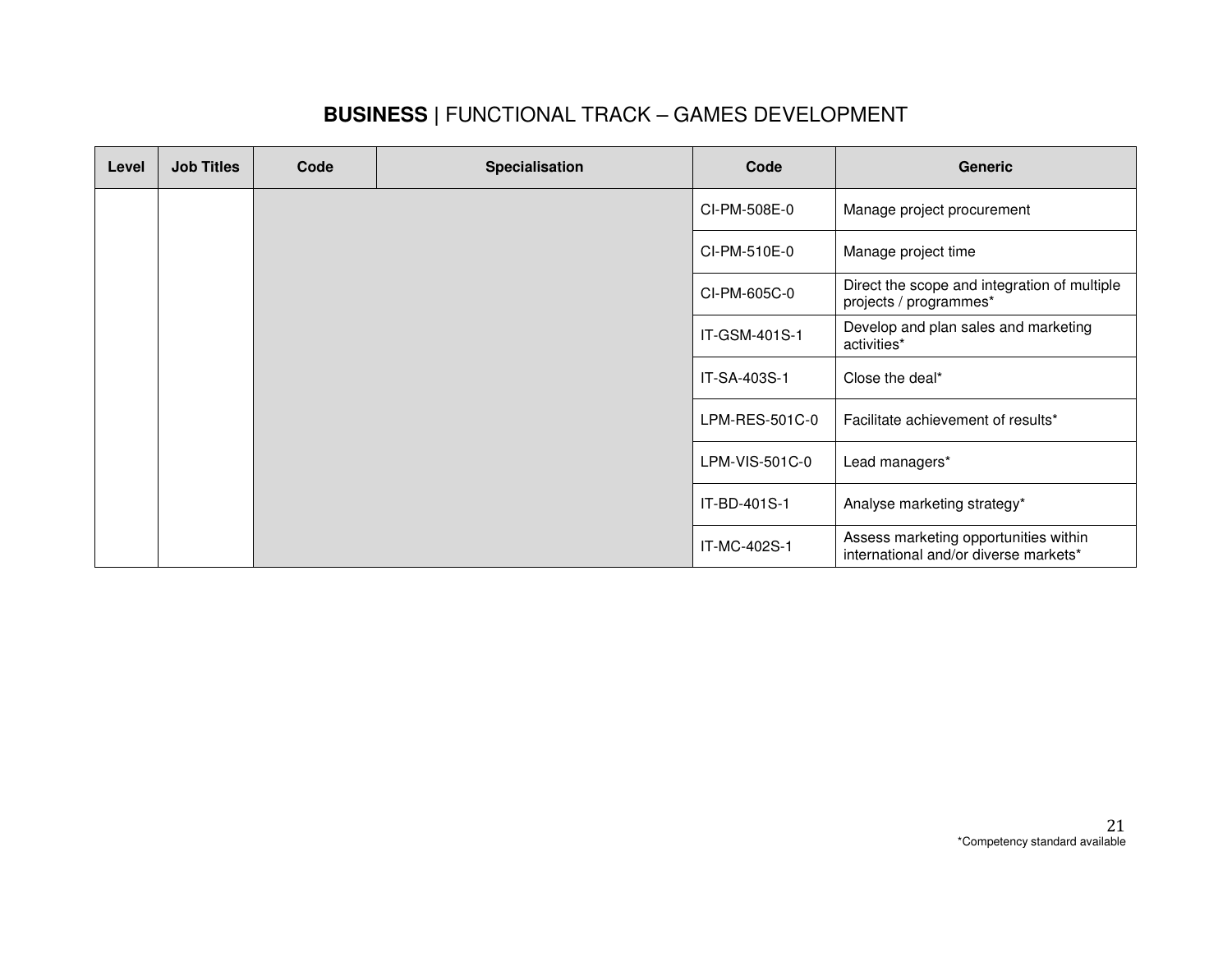### **BUSINESS |** FUNCTIONAL TRACK – GAMES DEVELOPMENT

| Level | <b>Job Titles</b> | Code | <b>Specialisation</b> | Code           | <b>Generic</b>                                                                 |
|-------|-------------------|------|-----------------------|----------------|--------------------------------------------------------------------------------|
|       |                   |      |                       | CI-PM-508E-0   | Manage project procurement                                                     |
|       |                   |      |                       | CI-PM-510E-0   | Manage project time                                                            |
|       |                   |      |                       | CI-PM-605C-0   | Direct the scope and integration of multiple<br>projects / programmes*         |
|       |                   |      |                       | IT-GSM-401S-1  | Develop and plan sales and marketing<br>activities*                            |
|       |                   |      |                       | IT-SA-403S-1   | Close the deal*                                                                |
|       |                   |      |                       | LPM-RES-501C-0 | Facilitate achievement of results*                                             |
|       |                   |      |                       | LPM-VIS-501C-0 | Lead managers*                                                                 |
|       |                   |      |                       | IT-BD-401S-1   | Analyse marketing strategy*                                                    |
|       |                   |      |                       | IT-MC-402S-1   | Assess marketing opportunities within<br>international and/or diverse markets* |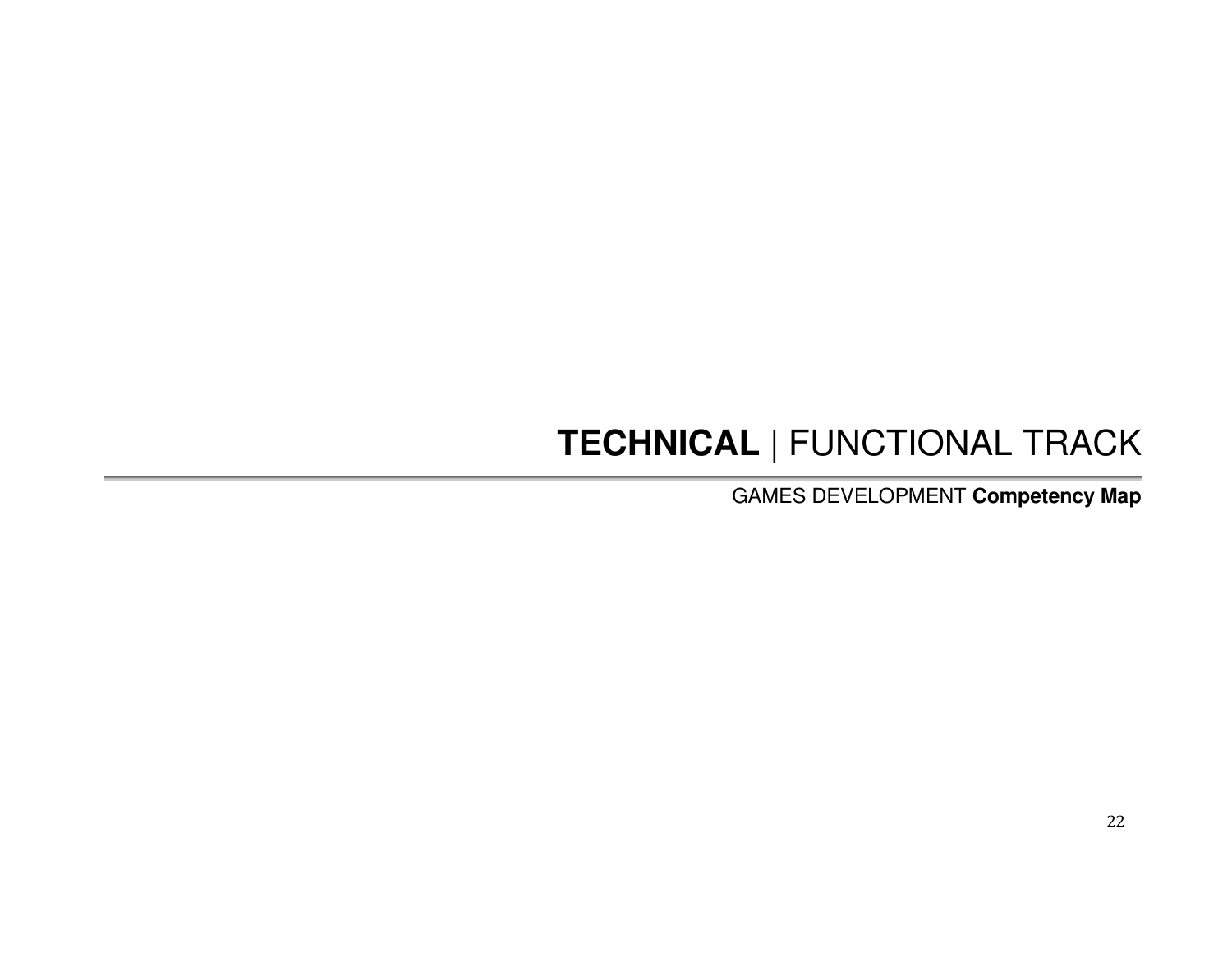# **TECHNICAL** | FUNCTIONAL TRACK

GAMES DEVELOPMENT **Competency Map**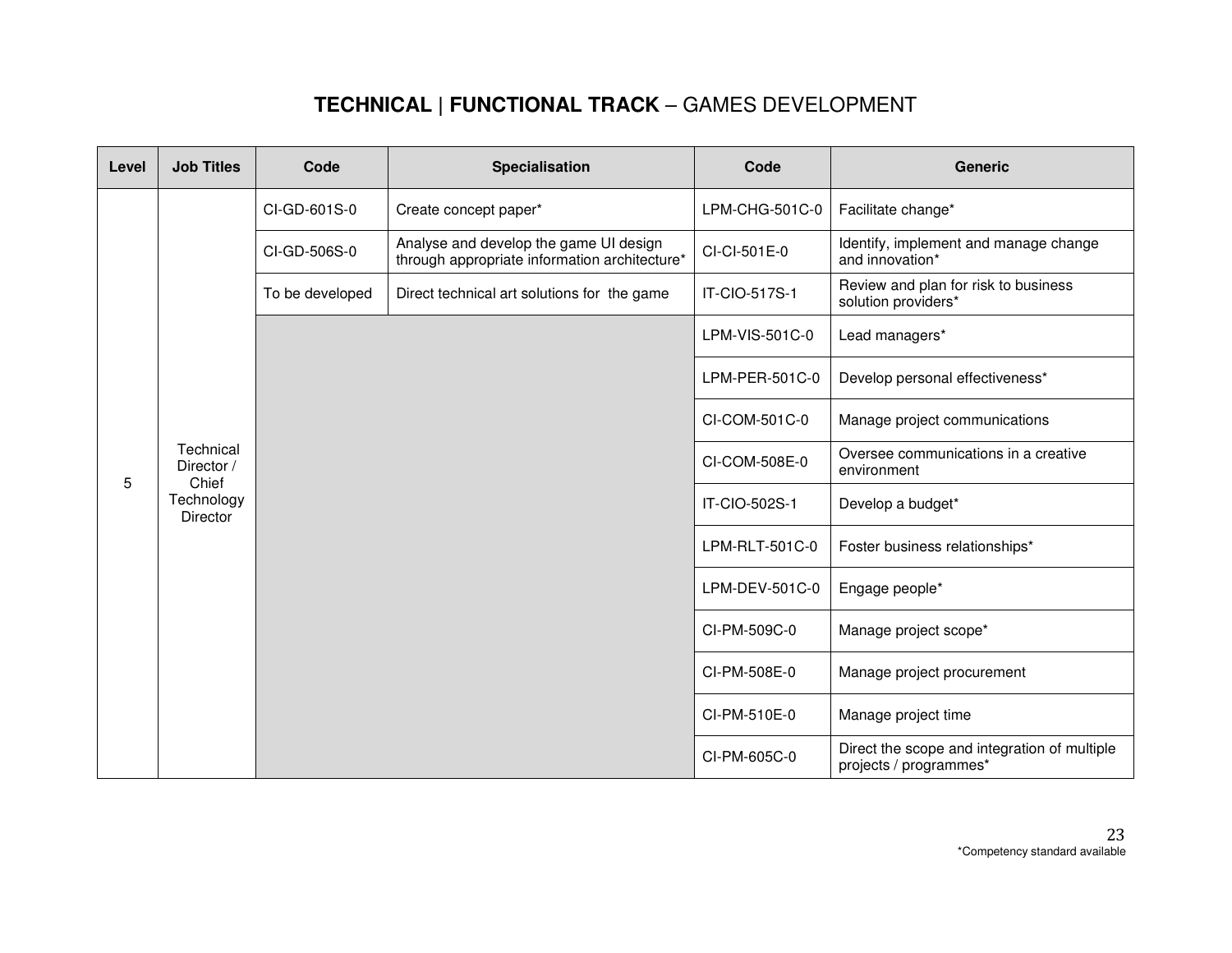| Level | <b>Job Titles</b>                                                 | Code            | Specialisation                                                                          | Code           | <b>Generic</b>                                                         |
|-------|-------------------------------------------------------------------|-----------------|-----------------------------------------------------------------------------------------|----------------|------------------------------------------------------------------------|
|       |                                                                   | CI-GD-601S-0    | Create concept paper*                                                                   | LPM-CHG-501C-0 | Facilitate change*                                                     |
|       |                                                                   | CI-GD-506S-0    | Analyse and develop the game UI design<br>through appropriate information architecture* | CI-CI-501E-0   | Identify, implement and manage change<br>and innovation*               |
|       |                                                                   | To be developed | Direct technical art solutions for the game                                             | IT-CIO-517S-1  | Review and plan for risk to business<br>solution providers*            |
|       |                                                                   |                 |                                                                                         | LPM-VIS-501C-0 | Lead managers*                                                         |
|       |                                                                   |                 |                                                                                         | LPM-PER-501C-0 | Develop personal effectiveness*                                        |
|       | Technical<br>Director /<br>Chief<br>Technology<br><b>Director</b> |                 |                                                                                         | CI-COM-501C-0  | Manage project communications                                          |
| 5     |                                                                   |                 |                                                                                         | CI-COM-508E-0  | Oversee communications in a creative<br>environment                    |
|       |                                                                   |                 |                                                                                         | IT-CIO-502S-1  | Develop a budget*                                                      |
|       |                                                                   |                 |                                                                                         | LPM-RLT-501C-0 | Foster business relationships*                                         |
|       |                                                                   |                 |                                                                                         | LPM-DEV-501C-0 | Engage people*                                                         |
|       |                                                                   |                 |                                                                                         | CI-PM-509C-0   | Manage project scope*                                                  |
|       |                                                                   |                 |                                                                                         | CI-PM-508E-0   | Manage project procurement                                             |
|       |                                                                   |                 |                                                                                         | CI-PM-510E-0   | Manage project time                                                    |
|       |                                                                   |                 |                                                                                         | CI-PM-605C-0   | Direct the scope and integration of multiple<br>projects / programmes* |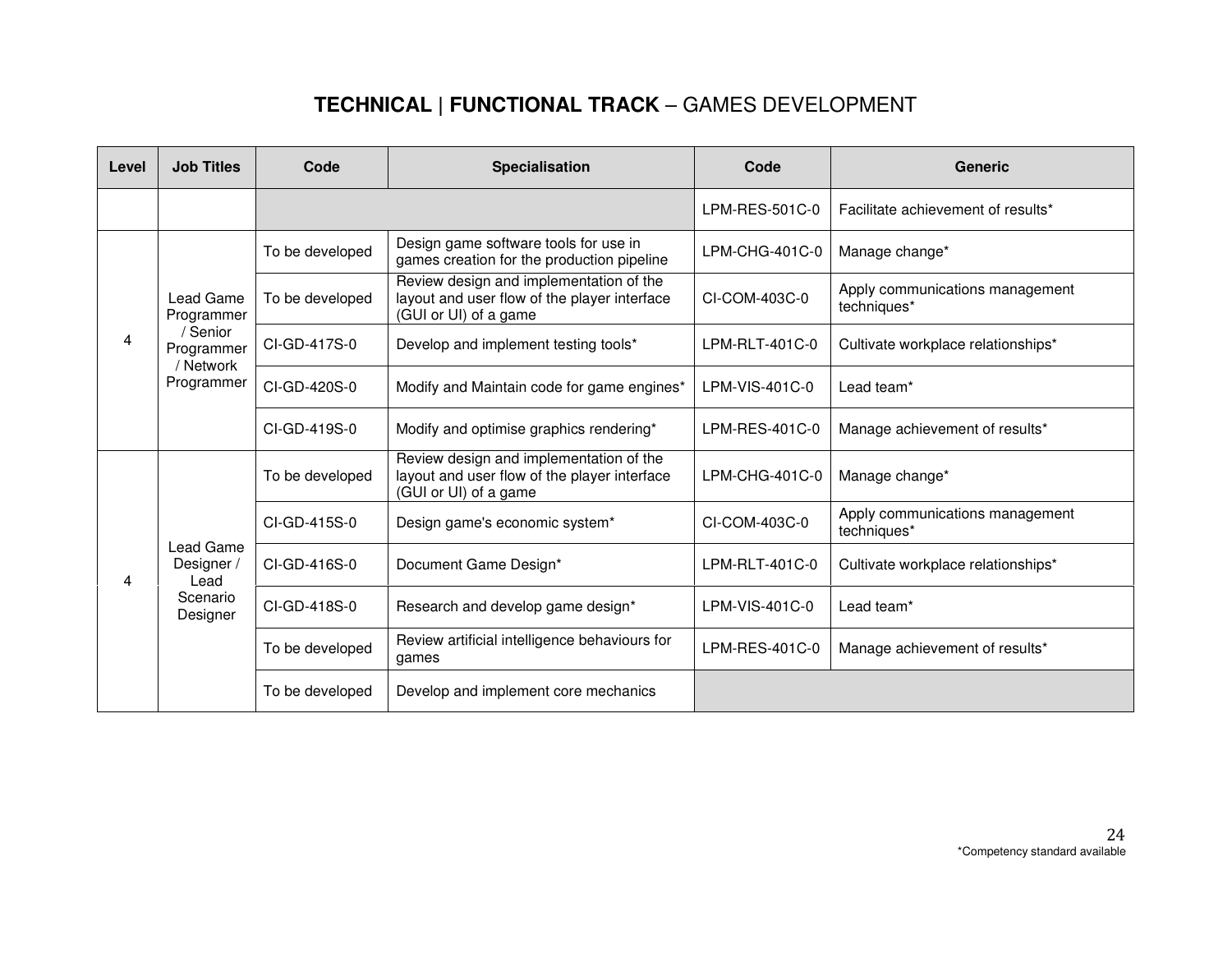| Level | <b>Job Titles</b>                   | Code            | <b>Specialisation</b>                                                                                            | Code             | <b>Generic</b>                                 |
|-------|-------------------------------------|-----------------|------------------------------------------------------------------------------------------------------------------|------------------|------------------------------------------------|
|       |                                     |                 |                                                                                                                  | LPM-RES-501C-0   | Facilitate achievement of results*             |
|       |                                     | To be developed | Design game software tools for use in<br>games creation for the production pipeline                              | $LPM-CHG-401C-0$ | Manage change*                                 |
|       | Lead Game<br>Programmer             | To be developed | Review design and implementation of the<br>layout and user flow of the player interface<br>(GUI or UI) of a game | CI-COM-403C-0    | Apply communications management<br>techniques* |
| 4     | / Senior<br>Programmer<br>/ Network | CI-GD-417S-0    | Develop and implement testing tools*                                                                             | LPM-RLT-401C-0   | Cultivate workplace relationships*             |
|       | Programmer                          | CI-GD-420S-0    | Modify and Maintain code for game engines*                                                                       | $LPM-VIS-401C-0$ | Lead team <sup>*</sup>                         |
|       |                                     | CI-GD-419S-0    | Modify and optimise graphics rendering*                                                                          | LPM-RES-401C-0   | Manage achievement of results*                 |
|       |                                     | To be developed | Review design and implementation of the<br>layout and user flow of the player interface<br>(GUI or UI) of a game | $LPM-CHG-401C-0$ | Manage change*                                 |
|       |                                     | CI-GD-415S-0    | Design game's economic system*                                                                                   | CI-COM-403C-0    | Apply communications management<br>techniques* |
| 4     | Lead Game<br>Designer /<br>Lead     | CI-GD-416S-0    | Document Game Design*                                                                                            | LPM-RLT-401C-0   | Cultivate workplace relationships*             |
|       | Scenario<br>Designer                | CI-GD-418S-0    | Research and develop game design*                                                                                | LPM-VIS-401C-0   | Lead team*                                     |
|       |                                     | To be developed | Review artificial intelligence behaviours for<br>games                                                           | LPM-RES-401C-0   | Manage achievement of results*                 |
|       |                                     | To be developed | Develop and implement core mechanics                                                                             |                  |                                                |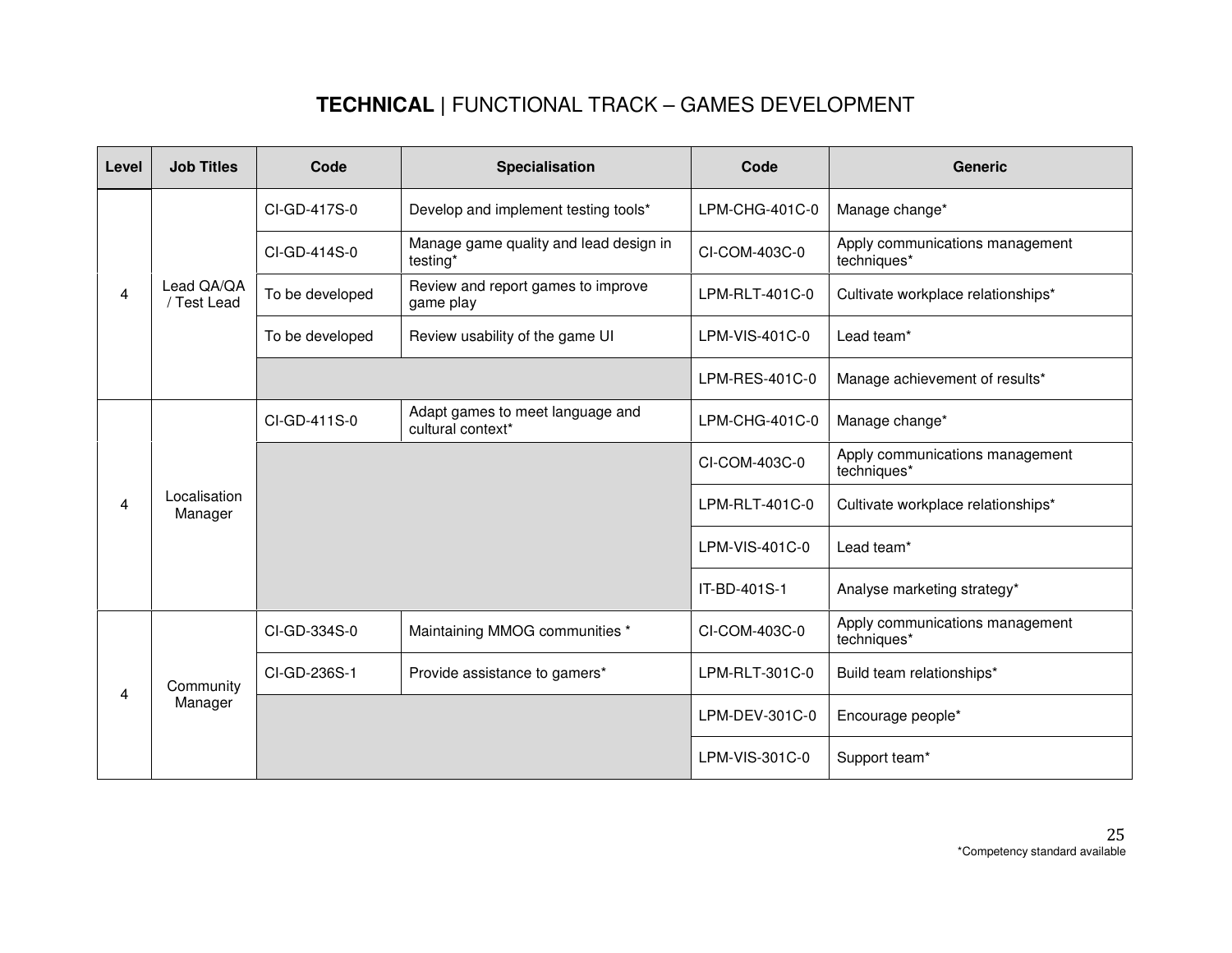| Level | <b>Job Titles</b>         | Code            | <b>Specialisation</b>                                 | Code           | <b>Generic</b>                                 |
|-------|---------------------------|-----------------|-------------------------------------------------------|----------------|------------------------------------------------|
|       |                           | CI-GD-417S-0    | Develop and implement testing tools*                  | LPM-CHG-401C-0 | Manage change*                                 |
|       |                           | CI-GD-414S-0    | Manage game quality and lead design in<br>testing*    | CI-COM-403C-0  | Apply communications management<br>techniques* |
| 4     | Lead QA/QA<br>/ Test Lead | To be developed | Review and report games to improve<br>game play       | LPM-RLT-401C-0 | Cultivate workplace relationships*             |
|       |                           | To be developed | Review usability of the game UI                       | LPM-VIS-401C-0 | Lead team*                                     |
|       |                           |                 |                                                       | LPM-RES-401C-0 | Manage achievement of results*                 |
|       | Localisation<br>Manager   | CI-GD-411S-0    | Adapt games to meet language and<br>cultural context* | LPM-CHG-401C-0 | Manage change*                                 |
|       |                           |                 |                                                       | CI-COM-403C-0  | Apply communications management<br>techniques* |
| 4     |                           |                 |                                                       | LPM-RLT-401C-0 | Cultivate workplace relationships*             |
|       |                           |                 |                                                       | LPM-VIS-401C-0 | Lead team*                                     |
|       |                           |                 |                                                       | IT-BD-401S-1   | Analyse marketing strategy*                    |
|       |                           | CI-GD-334S-0    | Maintaining MMOG communities *                        | CI-COM-403C-0  | Apply communications management<br>techniques* |
| 4     | Community                 | CI-GD-236S-1    | Provide assistance to gamers*                         | LPM-RLT-301C-0 | Build team relationships*                      |
|       | Manager                   |                 |                                                       | LPM-DEV-301C-0 | Encourage people*                              |
|       |                           |                 |                                                       | LPM-VIS-301C-0 | Support team*                                  |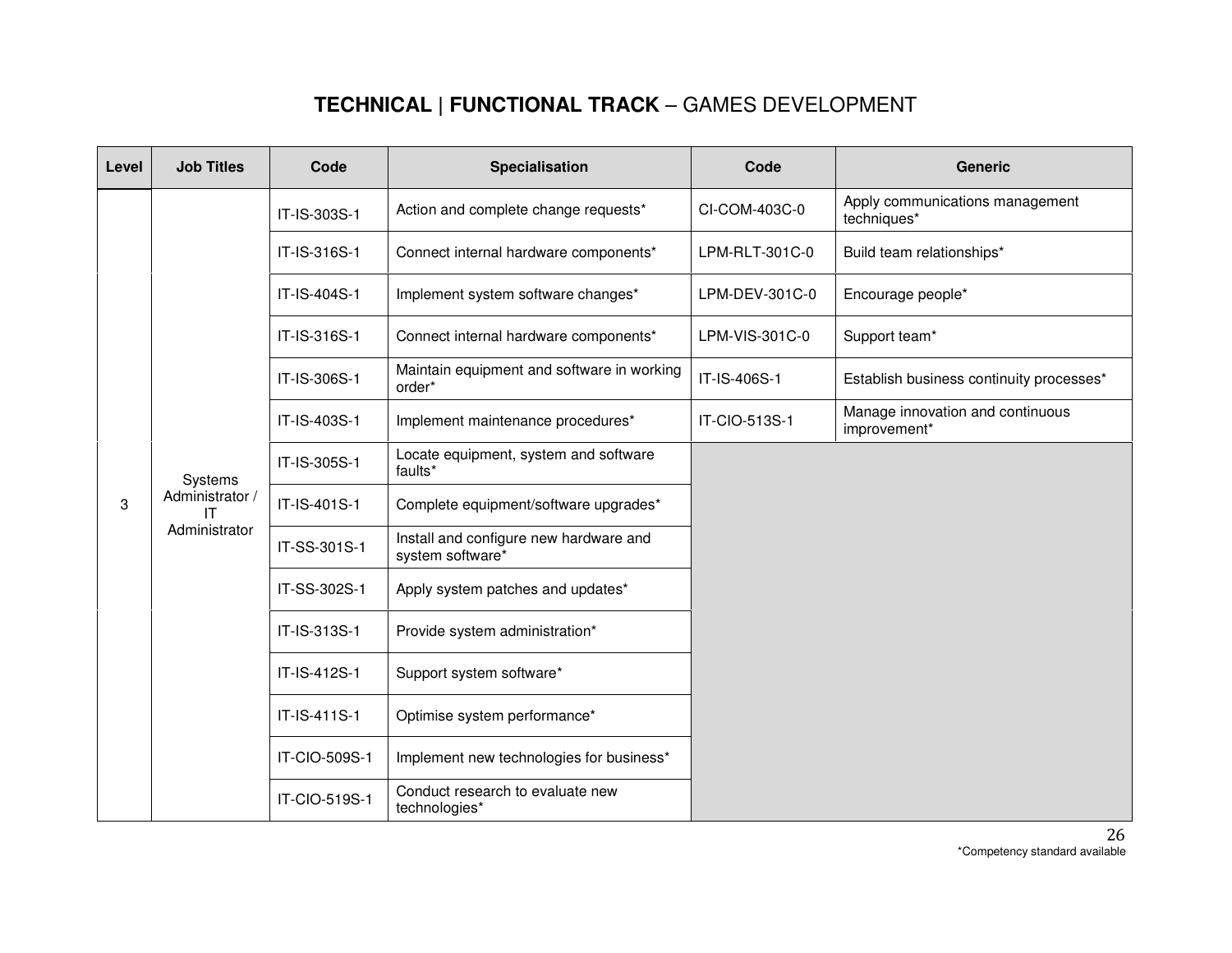| Level | <b>Job Titles</b>     | Code          | <b>Specialisation</b>                                      | Code           | <b>Generic</b>                                   |
|-------|-----------------------|---------------|------------------------------------------------------------|----------------|--------------------------------------------------|
|       |                       | IT-IS-303S-1  | Action and complete change requests*                       | CI-COM-403C-0  | Apply communications management<br>techniques*   |
|       |                       | IT-IS-316S-1  | Connect internal hardware components*                      | LPM-RLT-301C-0 | Build team relationships*                        |
|       |                       | IT-IS-404S-1  | Implement system software changes*                         | LPM-DEV-301C-0 | Encourage people*                                |
|       |                       | IT-IS-316S-1  | Connect internal hardware components*                      | LPM-VIS-301C-0 | Support team*                                    |
|       |                       | IT-IS-306S-1  | Maintain equipment and software in working<br>order*       | IT-IS-406S-1   | Establish business continuity processes*         |
|       |                       | IT-IS-403S-1  | Implement maintenance procedures*                          | IT-CIO-513S-1  | Manage innovation and continuous<br>improvement* |
|       | Systems               | IT-IS-305S-1  | Locate equipment, system and software<br>faults*           |                |                                                  |
| 3     | Administrator /<br>IT | IT-IS-401S-1  | Complete equipment/software upgrades*                      |                |                                                  |
|       | Administrator         | IT-SS-301S-1  | Install and configure new hardware and<br>system software* |                |                                                  |
|       |                       | IT-SS-302S-1  | Apply system patches and updates*                          |                |                                                  |
|       |                       | IT-IS-313S-1  | Provide system administration*                             |                |                                                  |
|       |                       | IT-IS-412S-1  | Support system software*                                   |                |                                                  |
|       |                       | IT-IS-411S-1  | Optimise system performance*                               |                |                                                  |
|       |                       | IT-CIO-509S-1 | Implement new technologies for business*                   |                |                                                  |
|       |                       | IT-CIO-519S-1 | Conduct research to evaluate new<br>technologies*          |                |                                                  |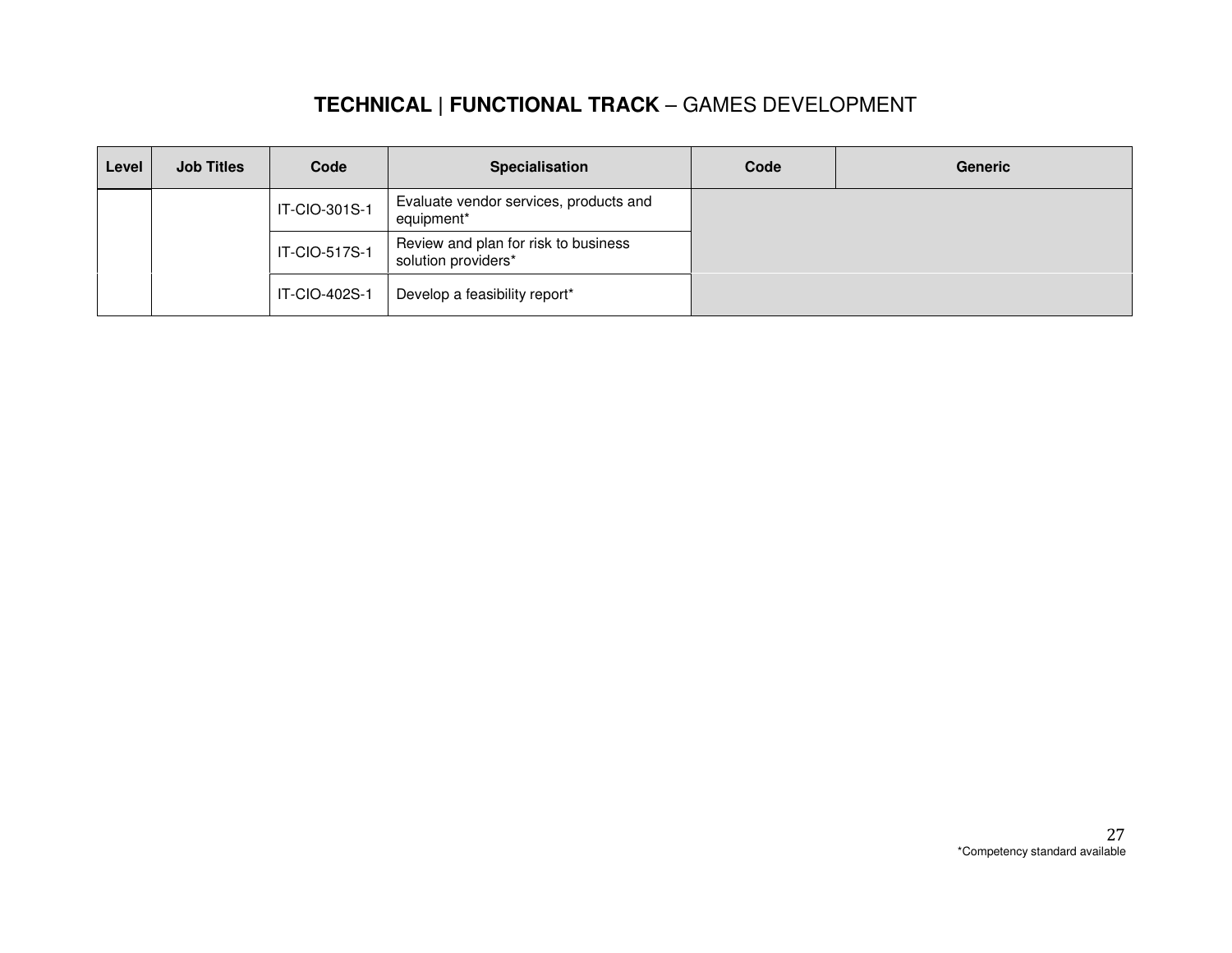| Level | <b>Job Titles</b> | Code          | <b>Specialisation</b>                                       | Code | <b>Generic</b> |
|-------|-------------------|---------------|-------------------------------------------------------------|------|----------------|
|       |                   | IT-CIO-301S-1 | Evaluate vendor services, products and<br>equipment*        |      |                |
|       |                   | IT-CIO-517S-1 | Review and plan for risk to business<br>solution providers* |      |                |
|       |                   | IT-CIO-402S-1 | Develop a feasibility report*                               |      |                |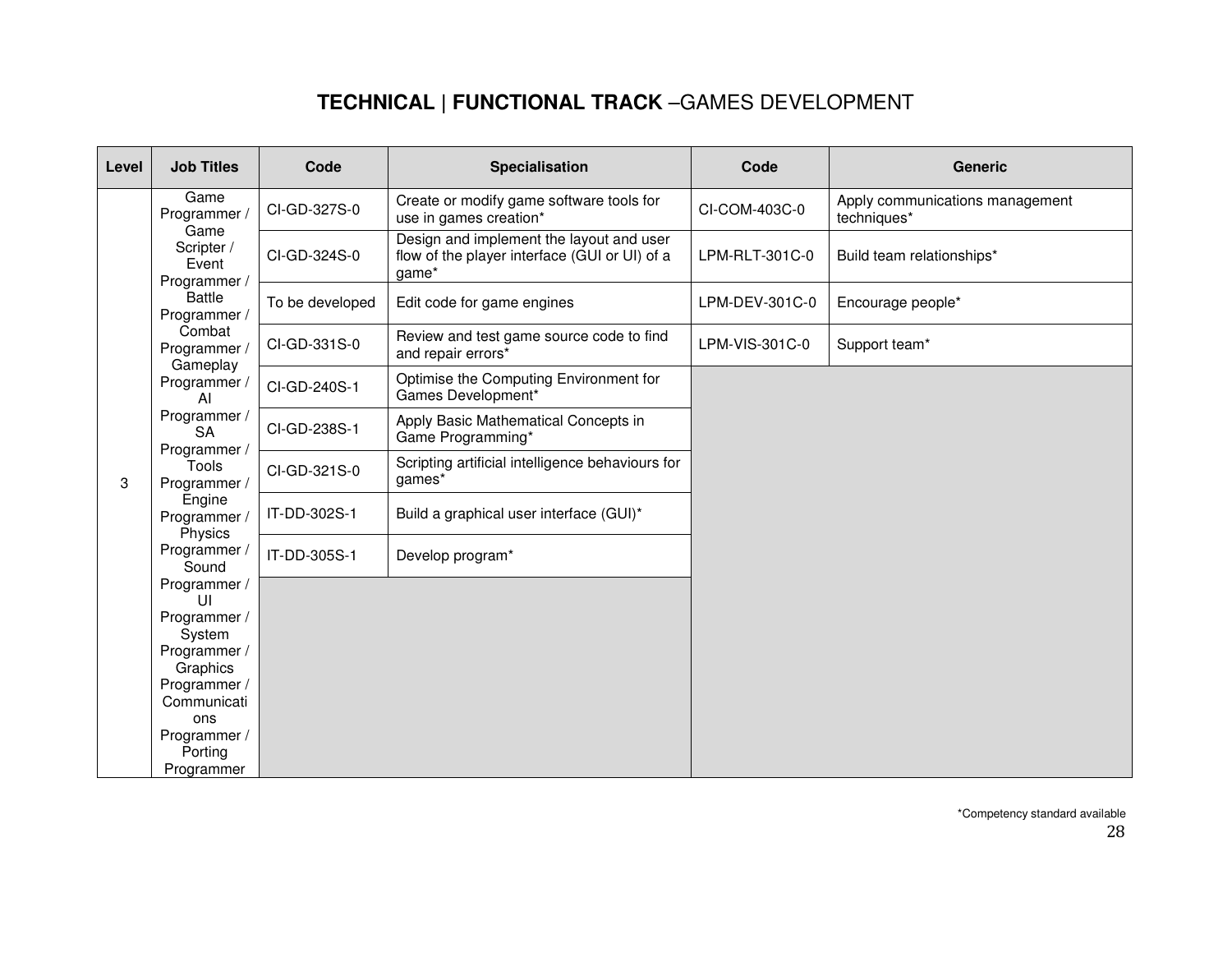| Level | <b>Job Titles</b>                            | Code            | <b>Specialisation</b>                                                                              | Code           | <b>Generic</b>                                 |
|-------|----------------------------------------------|-----------------|----------------------------------------------------------------------------------------------------|----------------|------------------------------------------------|
|       | Game<br>Programmer                           | CI-GD-327S-0    | Create or modify game software tools for<br>use in games creation*                                 | CI-COM-403C-0  | Apply communications management<br>techniques* |
|       | Game<br>Scripter /<br>Event<br>Programmer /  | CI-GD-324S-0    | Design and implement the layout and user<br>flow of the player interface (GUI or UI) of a<br>game* | LPM-RLT-301C-0 | Build team relationships*                      |
|       | <b>Battle</b><br>Programmer /                | To be developed | Edit code for game engines                                                                         | LPM-DEV-301C-0 | Encourage people*                              |
|       | Combat<br>Programmer                         | CI-GD-331S-0    | Review and test game source code to find<br>and repair errors*                                     | LPM-VIS-301C-0 | Support team*                                  |
|       | Gameplay<br>Programmer<br>AI                 | CI-GD-240S-1    | Optimise the Computing Environment for<br>Games Development*                                       |                |                                                |
|       | Programmer /<br><b>SA</b>                    | CI-GD-238S-1    | Apply Basic Mathematical Concepts in<br>Game Programming*                                          |                |                                                |
| 3     | Programmer /<br><b>Tools</b><br>Programmer / | CI-GD-321S-0    | Scripting artificial intelligence behaviours for<br>games*                                         |                |                                                |
|       | Engine<br>Programmer /                       | IT-DD-302S-1    | Build a graphical user interface (GUI)*                                                            |                |                                                |
|       | Physics<br>Programmer<br>Sound               | IT-DD-305S-1    | Develop program*                                                                                   |                |                                                |
|       | Programmer /<br>UI                           |                 |                                                                                                    |                |                                                |
|       | Programmer /                                 |                 |                                                                                                    |                |                                                |
|       | System<br>Programmer /                       |                 |                                                                                                    |                |                                                |
|       | Graphics                                     |                 |                                                                                                    |                |                                                |
|       | Programmer /                                 |                 |                                                                                                    |                |                                                |
|       | Communicati                                  |                 |                                                                                                    |                |                                                |
|       | ons                                          |                 |                                                                                                    |                |                                                |
|       | Programmer /<br>Porting                      |                 |                                                                                                    |                |                                                |
|       | Programmer                                   |                 |                                                                                                    |                |                                                |